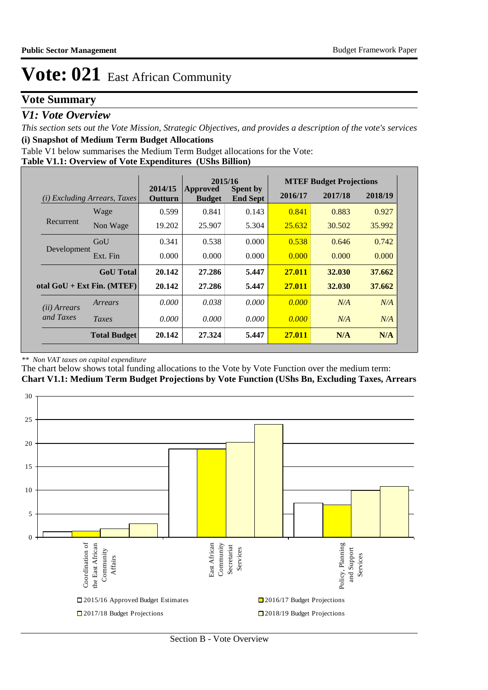## **Vote Summary**

### *V1: Vote Overview*

*This section sets out the Vote Mission, Strategic Objectives, and provides a description of the vote's services* **(i) Snapshot of Medium Term Budget Allocations** 

Table V1 below summarises the Medium Term Budget allocations for the Vote:

**Table V1.1: Overview of Vote Expenditures (UShs Billion)**

|                       |                                 |                    | 2015/16                   |                                    |         |         |         | <b>MTEF Budget Projections</b> |  |
|-----------------------|---------------------------------|--------------------|---------------------------|------------------------------------|---------|---------|---------|--------------------------------|--|
| (i)                   | <b>Excluding Arrears, Taxes</b> | 2014/15<br>Outturn | Approved<br><b>Budget</b> | <b>Spent by</b><br><b>End Sept</b> | 2016/17 | 2017/18 | 2018/19 |                                |  |
|                       | Wage                            | 0.599              | 0.841                     | 0.143                              | 0.841   | 0.883   | 0.927   |                                |  |
| Recurrent             | Non Wage                        | 19.202             | 25.907                    | 5.304                              | 25.632  | 30.502  | 35.992  |                                |  |
|                       | GoU                             | 0.341              | 0.538                     | 0.000                              | 0.538   | 0.646   | 0.742   |                                |  |
| Development           | Ext. Fin                        | 0.000              | 0.000                     | 0.000                              | 0.000   | 0.000   | 0.000   |                                |  |
|                       | <b>GoU</b> Total                | 20.142             | 27.286                    | 5.447                              | 27.011  | 32.030  | 37.662  |                                |  |
|                       | otal $GoU + Ext Fin. (MTEF)$    | 20.142             | 27.286                    | 5.447                              | 27.011  | 32.030  | 37.662  |                                |  |
| ( <i>ii</i> ) Arrears | Arrears                         | 0.000              | 0.038                     | 0.000                              | 0.000   | N/A     | N/A     |                                |  |
| and Taxes             | Taxes                           | 0.000              | 0.000                     | 0.000                              | 0.000   | N/A     | N/A     |                                |  |
|                       | <b>Total Budget</b>             | 20.142             | 27.324                    | 5.447                              | 27.011  | N/A     | N/A     |                                |  |

### *\*\* Non VAT taxes on capital expenditure*

The chart below shows total funding allocations to the Vote by Vote Function over the medium term: **Chart V1.1: Medium Term Budget Projections by Vote Function (UShs Bn, Excluding Taxes, Arrears**

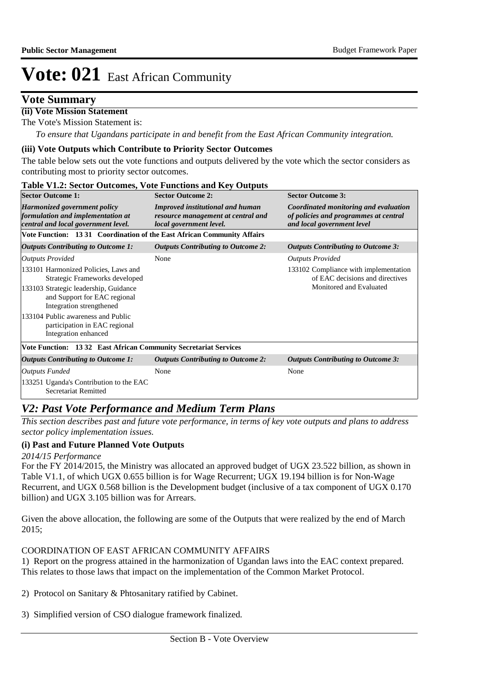## **Vote Summary**

### **(ii) Vote Mission Statement**

The Vote's Mission Statement is:

*To ensure that Ugandans participate in and benefit from the East African Community integration.*

### **(iii) Vote Outputs which Contribute to Priority Sector Outcomes**

The table below sets out the vote functions and outputs delivered by the vote which the sector considers as contributing most to priority sector outcomes.

| <b>Table V1.2: Sector Outcomes, Vote Functions and Key Outputs</b>                                                                                                                                                                                                         |                                                                                                          |                                                                                                                                          |  |  |  |  |  |  |  |
|----------------------------------------------------------------------------------------------------------------------------------------------------------------------------------------------------------------------------------------------------------------------------|----------------------------------------------------------------------------------------------------------|------------------------------------------------------------------------------------------------------------------------------------------|--|--|--|--|--|--|--|
| <b>Sector Outcome 1:</b>                                                                                                                                                                                                                                                   | <b>Sector Outcome 2:</b>                                                                                 | <b>Sector Outcome 3:</b><br>Coordinated monitoring and evaluation<br>of policies and programmes at central<br>and local government level |  |  |  |  |  |  |  |
| <b>Harmonized government policy</b><br>formulation and implementation at<br>central and local government level.                                                                                                                                                            | <b>Improved institutional and human</b><br>resource management at central and<br>local government level. |                                                                                                                                          |  |  |  |  |  |  |  |
| Vote Function: 13 31 Coordination of the East African Community Affairs                                                                                                                                                                                                    |                                                                                                          |                                                                                                                                          |  |  |  |  |  |  |  |
| <b>Outputs Contributing to Outcome 1:</b>                                                                                                                                                                                                                                  | <b>Outputs Contributing to Outcome 2:</b>                                                                | <b>Outputs Contributing to Outcome 3:</b>                                                                                                |  |  |  |  |  |  |  |
| <b>Outputs Provided</b>                                                                                                                                                                                                                                                    | None                                                                                                     | <b>Outputs Provided</b>                                                                                                                  |  |  |  |  |  |  |  |
| 133101 Harmonized Policies, Laws and<br>Strategic Frameworks developed<br>133103 Strategic leadership, Guidance<br>and Support for EAC regional<br>Integration strengthened<br>133104 Public awareness and Public<br>participation in EAC regional<br>Integration enhanced |                                                                                                          | 133102 Compliance with implementation<br>of EAC decisions and directives<br>Monitored and Evaluated                                      |  |  |  |  |  |  |  |
| Vote Function: 1332 East African Community Secretariat Services                                                                                                                                                                                                            |                                                                                                          |                                                                                                                                          |  |  |  |  |  |  |  |
| <b>Outputs Contributing to Outcome 1:</b>                                                                                                                                                                                                                                  | <b>Outputs Contributing to Outcome 2:</b>                                                                | <b>Outputs Contributing to Outcome 3:</b>                                                                                                |  |  |  |  |  |  |  |
| <b>Outputs Funded</b>                                                                                                                                                                                                                                                      | None                                                                                                     | None                                                                                                                                     |  |  |  |  |  |  |  |
| 133251 Uganda's Contribution to the EAC<br>Secretariat Remitted                                                                                                                                                                                                            |                                                                                                          |                                                                                                                                          |  |  |  |  |  |  |  |

## *V2: Past Vote Performance and Medium Term Plans*

*This section describes past and future vote performance, in terms of key vote outputs and plans to address sector policy implementation issues.* 

### **(i) Past and Future Planned Vote Outputs**

### *2014/15 Performance*

For the FY 2014/2015, the Ministry was allocated an approved budget of UGX 23.522 billion, as shown in Table V1.1, of which UGX 0.655 billion is for Wage Recurrent; UGX 19.194 billion is for Non-Wage Recurrent, and UGX 0.568 billion is the Development budget (inclusive of a tax component of UGX 0.170 billion) and UGX 3.105 billion was for Arrears.

Given the above allocation, the following are some of the Outputs that were realized by the end of March 2015;

### COORDINATION OF EAST AFRICAN COMMUNITY AFFAIRS

1) Report on the progress attained in the harmonization of Ugandan laws into the EAC context prepared. This relates to those laws that impact on the implementation of the Common Market Protocol.

- 2) Protocol on Sanitary & Phtosanitary ratified by Cabinet.
- 3) Simplified version of CSO dialogue framework finalized.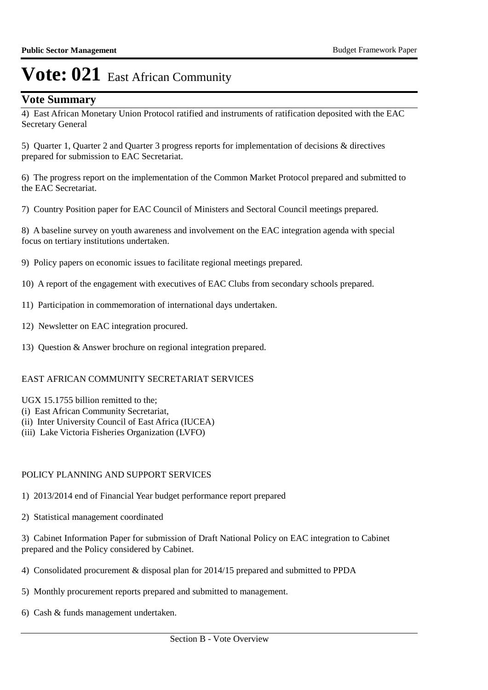## **Vote Summary**

4) East African Monetary Union Protocol ratified and instruments of ratification deposited with the EAC Secretary General

5) Quarter 1, Quarter 2 and Quarter 3 progress reports for implementation of decisions & directives prepared for submission to EAC Secretariat.

6) The progress report on the implementation of the Common Market Protocol prepared and submitted to the EAC Secretariat.

7) Country Position paper for EAC Council of Ministers and Sectoral Council meetings prepared.

8) A baseline survey on youth awareness and involvement on the EAC integration agenda with special focus on tertiary institutions undertaken.

9) Policy papers on economic issues to facilitate regional meetings prepared.

10) A report of the engagement with executives of EAC Clubs from secondary schools prepared.

- 11) Participation in commemoration of international days undertaken.
- 12) Newsletter on EAC integration procured.
- 13) Ouestion & Answer brochure on regional integration prepared.

### EAST AFRICAN COMMUNITY SECRETARIAT SERVICES

- UGX 15.1755 billion remitted to the;
- (i) East African Community Secretariat,
- (ii) Inter University Council of East Africa (IUCEA)
- (iii) Lake Victoria Fisheries Organization (LVFO)

### POLICY PLANNING AND SUPPORT SERVICES

- 1) 2013/2014 end of Financial Year budget performance report prepared
- 2) Statistical management coordinated

3) Cabinet Information Paper for submission of Draft National Policy on EAC integration to Cabinet prepared and the Policy considered by Cabinet.

- 4) Consolidated procurement & disposal plan for 2014/15 prepared and submitted to PPDA
- 5) Monthly procurement reports prepared and submitted to management.
- 6) Cash & funds management undertaken.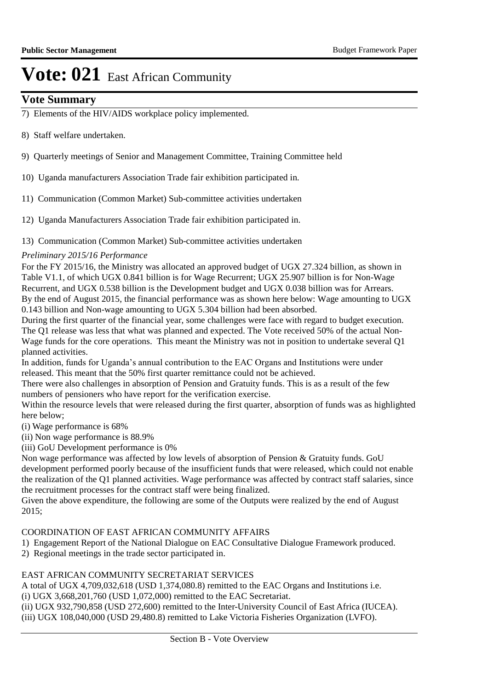## **Vote Summary**

- 7) Elements of the HIV/AIDS workplace policy implemented.
- 8) Staff welfare undertaken.
- 9) Quarterly meetings of Senior and Management Committee, Training Committee held
- 10) Uganda manufacturers Association Trade fair exhibition participated in.
- 11) Communication (Common Market) Sub-committee activities undertaken
- 12) Uganda Manufacturers Association Trade fair exhibition participated in.
- 13) Communication (Common Market) Sub-committee activities undertaken

### *Preliminary 2015/16 Performance*

For the FY 2015/16, the Ministry was allocated an approved budget of UGX 27.324 billion, as shown in Table V1.1, of which UGX 0.841 billion is for Wage Recurrent; UGX 25.907 billion is for Non-Wage Recurrent, and UGX 0.538 billion is the Development budget and UGX 0.038 billion was for Arrears. By the end of August 2015, the financial performance was as shown here below: Wage amounting to UGX 0.143 billion and Non-wage amounting to UGX 5.304 billion had been absorbed.

During the first quarter of the financial year, some challenges were face with regard to budget execution. The Q1 release was less that what was planned and expected. The Vote received 50% of the actual Non-Wage funds for the core operations. This meant the Ministry was not in position to undertake several Q1 planned activities.

In addition, funds for Uganda's annual contribution to the EAC Organs and Institutions were under released. This meant that the 50% first quarter remittance could not be achieved.

There were also challenges in absorption of Pension and Gratuity funds. This is as a result of the few numbers of pensioners who have report for the verification exercise.

Within the resource levels that were released during the first quarter, absorption of funds was as highlighted here below;

(i) Wage performance is 68%

(ii) Non wage performance is 88.9%

(iii) GoU Development performance is 0%

Non wage performance was affected by low levels of absorption of Pension & Gratuity funds. GoU development performed poorly because of the insufficient funds that were released, which could not enable the realization of the Q1 planned activities. Wage performance was affected by contract staff salaries, since the recruitment processes for the contract staff were being finalized.

Given the above expenditure, the following are some of the Outputs were realized by the end of August 2015;

### COORDINATION OF EAST AFRICAN COMMUNITY AFFAIRS

1) Engagement Report of the National Dialogue on EAC Consultative Dialogue Framework produced.

2) Regional meetings in the trade sector participated in.

### EAST AFRICAN COMMUNITY SECRETARIAT SERVICES

A total of UGX 4,709,032,618 (USD 1,374,080.8) remitted to the EAC Organs and Institutions i.e.

(i) UGX 3,668,201,760 (USD 1,072,000) remitted to the EAC Secretariat.

```
(ii) 	UGX 932,790,858 (USD 272,600) remitted to the Inter-University Council of East Africa (IUCEA).
(iii)	 UGX 108,040,000 (USD 29,480.8) remitted to Lake Victoria Fisheries Organization (LVFO).
```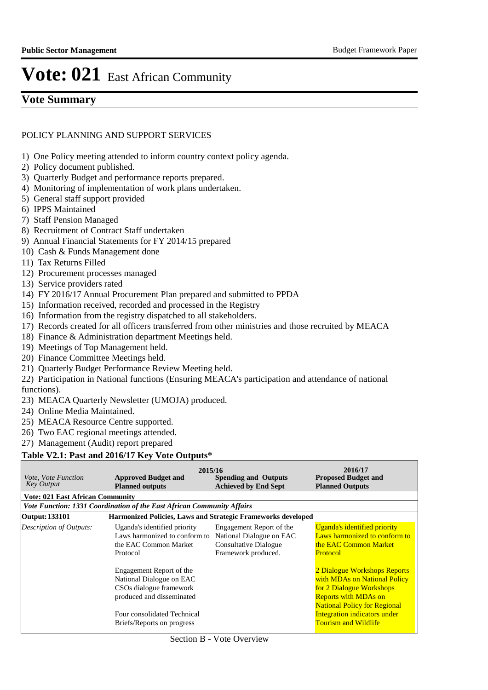## **Vote Summary**

### POLICY PLANNING AND SUPPORT SERVICES

- 1) One Policy meeting attended to inform country context policy agenda.
- 2) Policy document published.
- 3) Quarterly Budget and performance reports prepared.
- 4) Monitoring of implementation of work plans undertaken.
- 5) General staff support provided
- 6) IPPS Maintained
- 7) Staff Pension Managed
- 8) Recruitment of Contract Staff undertaken
- 9) Annual Financial Statements for FY 2014/15 prepared
- 10) Cash & Funds Management done
- 11) Tax Returns Filled
- 12) Procurement processes managed
- 13) Service providers rated
- 14) FY 2016/17 Annual Procurement Plan prepared and submitted to PPDA
- 15) Information received, recorded and processed in the Registry
- 16) Information from the registry dispatched to all stakeholders.
- 17) Records created for all officers transferred from other ministries and those recruited by MEACA
- 18) Finance & Administration department Meetings held.
- 19) Meetings of Top Management held.
- 20) Finance Committee Meetings held.
- 21) Quarterly Budget Performance Review Meeting held.
- 22) Participation in National functions (Ensuring MEACA's participation and attendance of national functions).
- 23) MEACA Quarterly Newsletter (UMOJA) produced.
- 24) Online Media Maintained.
- 25) MEACA Resource Centre supported.
- 26) Two EAC regional meetings attended.
- 27) Management (Audit) report prepared

### **Table V2.1: Past and 2016/17 Key Vote Outputs\***

| <i>Vote, Vote Function</i><br>Key Output | 2015/16<br><b>Approved Budget and</b><br><b>Planned outputs</b>                                                                                                           | <b>Spending and Outputs</b><br><b>Achieved by End Sept</b>                                                  | 2016/17<br><b>Proposed Budget and</b><br><b>Planned Outputs</b>                                                                                                                                                               |
|------------------------------------------|---------------------------------------------------------------------------------------------------------------------------------------------------------------------------|-------------------------------------------------------------------------------------------------------------|-------------------------------------------------------------------------------------------------------------------------------------------------------------------------------------------------------------------------------|
| <b>Vote: 021 East African Community</b>  |                                                                                                                                                                           |                                                                                                             |                                                                                                                                                                                                                               |
|                                          | Vote Function: 1331 Coordination of the East African Community Affairs                                                                                                    |                                                                                                             |                                                                                                                                                                                                                               |
| Output: 133101                           | <b>Harmonized Policies, Laws and Strategic Frameworks developed</b>                                                                                                       |                                                                                                             |                                                                                                                                                                                                                               |
| Description of Outputs:                  | Uganda's identified priority<br>Laws harmonized to conform to<br>the EAC Common Market<br>Protocol                                                                        | Engagement Report of the<br>National Dialogue on EAC<br><b>Consultative Dialogue</b><br>Framework produced. | Uganda's identified priority<br>Laws harmonized to conform to<br>the EAC Common Market<br>Protocol                                                                                                                            |
|                                          | Engagement Report of the<br>National Dialogue on EAC<br>CSOs dialogue framework<br>produced and disseminated<br>Four consolidated Technical<br>Briefs/Reports on progress |                                                                                                             | 2 Dialogue Workshops Reports<br>with MDAs on National Policy<br>for 2 Dialogue Workshops<br><b>Reports with MDAs on</b><br><b>National Policy for Regional</b><br>Integration indicators under<br><b>Tourism and Wildlife</b> |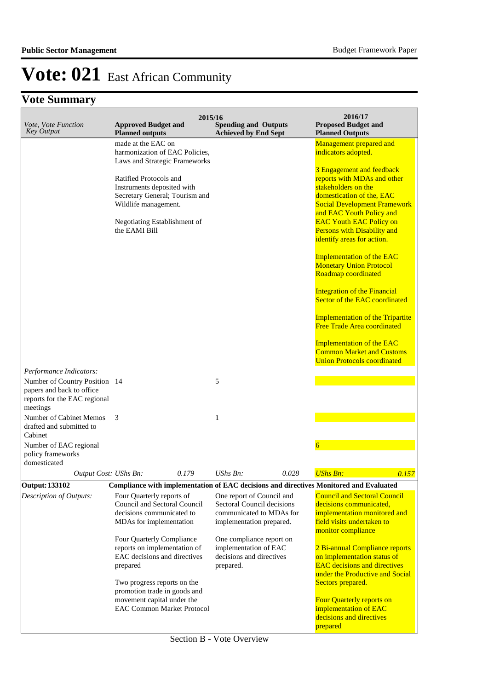| Vote, Vote Function<br><b>Key Output</b>                                                                                          | <b>Approved Budget and</b><br><b>Planned outputs</b>                                                                                                            | 2015/16 | <b>Spending and Outputs</b><br><b>Achieved by End Sept</b>                                 |       | 2016/17<br><b>Proposed Budget and</b><br><b>Planned Outputs</b>                                                                                                                                                                                                                |
|-----------------------------------------------------------------------------------------------------------------------------------|-----------------------------------------------------------------------------------------------------------------------------------------------------------------|---------|--------------------------------------------------------------------------------------------|-------|--------------------------------------------------------------------------------------------------------------------------------------------------------------------------------------------------------------------------------------------------------------------------------|
|                                                                                                                                   | made at the EAC on<br>harmonization of EAC Policies,<br>Laws and Strategic Frameworks                                                                           |         |                                                                                            |       | Management prepared and<br>indicators adopted.                                                                                                                                                                                                                                 |
|                                                                                                                                   | Ratified Protocols and<br>Instruments deposited with<br>Secretary General; Tourism and<br>Wildlife management.<br>Negotiating Establishment of<br>the EAMI Bill |         |                                                                                            |       | 3 Engagement and feedback<br>reports with MDAs and other<br>stakeholders on the<br>domestication of the, EAC<br><b>Social Development Framework</b><br>and EAC Youth Policy and<br><b>EAC Youth EAC Policy on</b><br>Persons with Disability and<br>identify areas for action. |
|                                                                                                                                   |                                                                                                                                                                 |         |                                                                                            |       | <b>Implementation of the EAC</b><br><b>Monetary Union Protocol</b><br>Roadmap coordinated                                                                                                                                                                                      |
|                                                                                                                                   |                                                                                                                                                                 |         |                                                                                            |       | <b>Integration of the Financial</b><br>Sector of the EAC coordinated                                                                                                                                                                                                           |
|                                                                                                                                   |                                                                                                                                                                 |         |                                                                                            |       | <b>Implementation of the Tripartite</b><br>Free Trade Area coordinated                                                                                                                                                                                                         |
|                                                                                                                                   |                                                                                                                                                                 |         |                                                                                            |       | <b>Implementation of the EAC</b><br><b>Common Market and Customs</b><br><b>Union Protocols coordinated</b>                                                                                                                                                                     |
| Performance Indicators:<br>Number of Country Position 14<br>papers and back to office<br>reports for the EAC regional<br>meetings |                                                                                                                                                                 |         | 5                                                                                          |       |                                                                                                                                                                                                                                                                                |
| Number of Cabinet Memos<br>drafted and submitted to<br>Cabinet                                                                    | 3                                                                                                                                                               |         | 1                                                                                          |       |                                                                                                                                                                                                                                                                                |
| Number of EAC regional<br>policy frameworks<br>domesticated                                                                       |                                                                                                                                                                 |         |                                                                                            |       | 6                                                                                                                                                                                                                                                                              |
| Output Cost: UShs Bn:                                                                                                             |                                                                                                                                                                 | 0.179   | $UShs Bn$ :                                                                                | 0.028 | <b>UShs Bn:</b><br>0.157                                                                                                                                                                                                                                                       |
| <b>Output: 133102</b><br>Description of Outputs:                                                                                  | Four Quarterly reports of                                                                                                                                       |         | One report of Council and                                                                  |       | Compliance with implementation of EAC decisions and directives Monitored and Evaluated<br><b>Council and Sectoral Council</b>                                                                                                                                                  |
|                                                                                                                                   | Council and Sectoral Council<br>decisions communicated to<br>MDAs for implementation                                                                            |         | Sectoral Council decisions<br>communicated to MDAs for<br>implementation prepared.         |       | decisions communicated,<br>implementation monitored and<br>field visits undertaken to<br>monitor compliance                                                                                                                                                                    |
|                                                                                                                                   | Four Quarterly Compliance<br>reports on implementation of<br>EAC decisions and directives<br>prepared                                                           |         | One compliance report on<br>implementation of EAC<br>decisions and directives<br>prepared. |       | 2 Bi-annual Compliance reports<br>on implementation status of<br><b>EAC</b> decisions and directives<br>under the Productive and Social                                                                                                                                        |
|                                                                                                                                   | Two progress reports on the<br>promotion trade in goods and<br>movement capital under the<br><b>EAC Common Market Protocol</b>                                  |         |                                                                                            |       | Sectors prepared.<br>Four Quarterly reports on<br>implementation of EAC<br>decisions and directives<br>prepared                                                                                                                                                                |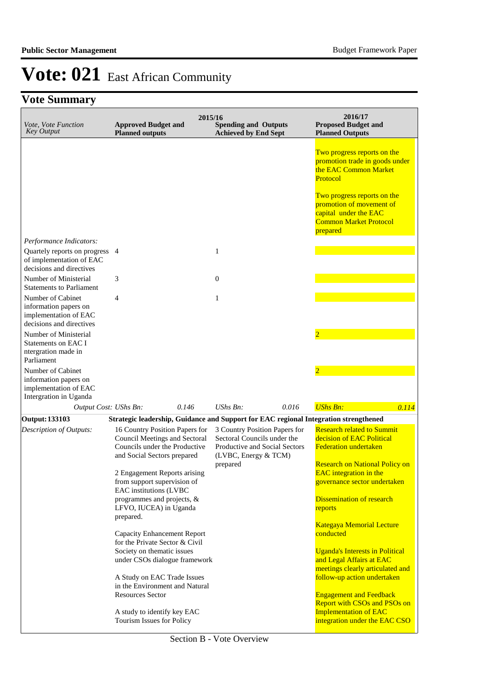| Vote, Vote Function<br><b>Key Output</b>                                                        | <b>Approved Budget and</b><br><b>Planned outputs</b>                                                                                   | 2015/16      | <b>Spending and Outputs</b><br><b>Achieved by End Sept</b>                                                                        |       | 2016/17<br><b>Proposed Budget and</b><br><b>Planned Outputs</b>                                                                                                                                                                     |
|-------------------------------------------------------------------------------------------------|----------------------------------------------------------------------------------------------------------------------------------------|--------------|-----------------------------------------------------------------------------------------------------------------------------------|-------|-------------------------------------------------------------------------------------------------------------------------------------------------------------------------------------------------------------------------------------|
|                                                                                                 |                                                                                                                                        |              |                                                                                                                                   |       | Two progress reports on the<br>promotion trade in goods under<br>the EAC Common Market<br>Protocol<br>Two progress reports on the<br>promotion of movement of<br>capital under the EAC<br><b>Common Market Protocol</b><br>prepared |
| Performance Indicators:                                                                         |                                                                                                                                        |              |                                                                                                                                   |       |                                                                                                                                                                                                                                     |
| Quartely reports on progress 4<br>of implementation of EAC<br>decisions and directives          |                                                                                                                                        | $\mathbf{1}$ |                                                                                                                                   |       |                                                                                                                                                                                                                                     |
| Number of Ministerial<br><b>Statements to Parliament</b>                                        | 3                                                                                                                                      | $\mathbf{0}$ |                                                                                                                                   |       |                                                                                                                                                                                                                                     |
| Number of Cabinet<br>information papers on<br>implementation of EAC<br>decisions and directives | 4                                                                                                                                      | $\mathbf{1}$ |                                                                                                                                   |       |                                                                                                                                                                                                                                     |
| Number of Ministerial<br><b>Statements on EAC I</b><br>ntergration made in<br>Parliament        |                                                                                                                                        |              |                                                                                                                                   |       | $\overline{2}$                                                                                                                                                                                                                      |
| Number of Cabinet<br>information papers on<br>implementation of EAC<br>Intergration in Uganda   |                                                                                                                                        |              |                                                                                                                                   |       |                                                                                                                                                                                                                                     |
| Output Cost: UShs Bn:                                                                           | 0.146                                                                                                                                  |              | $UShs Bn$ :                                                                                                                       | 0.016 | <b>UShs Bn:</b><br>0.114                                                                                                                                                                                                            |
| <b>Output: 133103</b>                                                                           | Strategic leadership, Guidance and Support for EAC regional Integration strengthened                                                   |              |                                                                                                                                   |       |                                                                                                                                                                                                                                     |
| Description of Outputs:                                                                         | 16 Country Position Papers for<br><b>Council Meetings and Sectoral</b><br>Councils under the Productive<br>and Social Sectors prepared |              | 3 Country Position Papers for<br>Sectoral Councils under the<br>Productive and Social Sectors<br>(LVBC, Energy & TCM)<br>prepared |       | <b>Research related to Summit</b><br>decision of EAC Political<br><b>Federation undertaken</b><br><b>Research on National Policy on</b>                                                                                             |
|                                                                                                 | 2 Engagement Reports arising<br>from support supervision of<br>EAC institutions (LVBC                                                  |              |                                                                                                                                   |       | <b>EAC</b> integration in the<br>governance sector undertaken                                                                                                                                                                       |
|                                                                                                 | programmes and projects, &<br>LFVO, IUCEA) in Uganda<br>prepared.                                                                      |              |                                                                                                                                   |       | <b>Dissemination of research</b><br>reports                                                                                                                                                                                         |
|                                                                                                 | <b>Capacity Enhancement Report</b><br>for the Private Sector & Civil                                                                   |              |                                                                                                                                   |       | <b>Kategaya Memorial Lecture</b><br>conducted                                                                                                                                                                                       |
|                                                                                                 | Society on thematic issues<br>under CSOs dialogue framework                                                                            |              |                                                                                                                                   |       | <b>Uganda's Interests in Political</b><br>and Legal Affairs at EAC<br>meetings clearly articulated and                                                                                                                              |
|                                                                                                 | A Study on EAC Trade Issues<br>in the Environment and Natural                                                                          |              |                                                                                                                                   |       | follow-up action undertaken                                                                                                                                                                                                         |
|                                                                                                 | <b>Resources Sector</b>                                                                                                                |              |                                                                                                                                   |       | <b>Engagement and Feedback</b><br><b>Report with CSOs and PSOs on</b>                                                                                                                                                               |
|                                                                                                 | A study to identify key EAC<br>Tourism Issues for Policy                                                                               |              |                                                                                                                                   |       | <b>Implementation of EAC</b><br>integration under the EAC CSO                                                                                                                                                                       |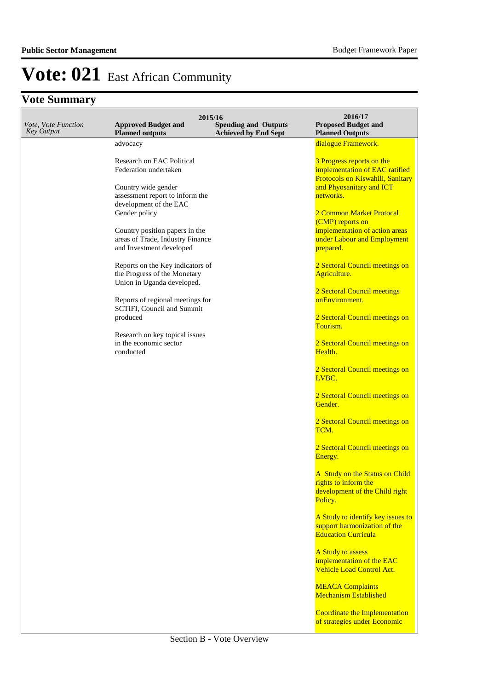| Vote, Vote Function<br><b>Key Output</b> | <b>Approved Budget and</b><br><b>Planned outputs</b>                                           | 2015/16<br><b>Spending and Outputs</b><br><b>Achieved by End Sept</b> | 2016/17<br><b>Proposed Budget and</b><br><b>Planned Outputs</b>                                                             |
|------------------------------------------|------------------------------------------------------------------------------------------------|-----------------------------------------------------------------------|-----------------------------------------------------------------------------------------------------------------------------|
|                                          | advocacy                                                                                       |                                                                       | dialogue Framework.                                                                                                         |
|                                          | Research on EAC Political<br>Federation undertaken<br>Country wide gender                      |                                                                       | 3 Progress reports on the<br>implementation of EAC ratified<br>Protocols on Kiswahili, Sanitary<br>and Phyosanitary and ICT |
|                                          | assessment report to inform the                                                                |                                                                       | networks.                                                                                                                   |
|                                          | development of the EAC<br>Gender policy                                                        |                                                                       | 2 Common Market Protocal<br>(CMP) reports on                                                                                |
|                                          | Country position papers in the<br>areas of Trade, Industry Finance<br>and Investment developed |                                                                       | implementation of action areas<br>under Labour and Employment<br>prepared.                                                  |
|                                          | Reports on the Key indicators of<br>the Progress of the Monetary<br>Union in Uganda developed. |                                                                       | 2 Sectoral Council meetings on<br>Agriculture.                                                                              |
|                                          | Reports of regional meetings for<br>SCTIFI, Council and Summit                                 |                                                                       | 2 Sectoral Council meetings<br>onEnvironment.                                                                               |
|                                          | produced                                                                                       |                                                                       | 2 Sectoral Council meetings on<br>Tourism.                                                                                  |
|                                          | Research on key topical issues<br>in the economic sector<br>conducted                          |                                                                       | 2 Sectoral Council meetings on<br>Health.                                                                                   |
|                                          |                                                                                                |                                                                       | 2 Sectoral Council meetings on<br>LVBC.                                                                                     |
|                                          |                                                                                                |                                                                       | 2 Sectoral Council meetings on<br>Gender.                                                                                   |
|                                          |                                                                                                |                                                                       | 2 Sectoral Council meetings on<br>TCM.                                                                                      |
|                                          |                                                                                                |                                                                       | 2 Sectoral Council meetings on<br>Energy.                                                                                   |
|                                          |                                                                                                |                                                                       | A Study on the Status on Child<br>rights to inform the<br>development of the Child right<br>Policy.                         |
|                                          |                                                                                                |                                                                       | A Study to identify key issues to<br>support harmonization of the<br><b>Education Curricula</b>                             |
|                                          |                                                                                                |                                                                       | A Study to assess<br>implementation of the EAC<br><b>Vehicle Load Control Act.</b>                                          |
|                                          |                                                                                                |                                                                       | <b>MEACA Complaints</b><br><b>Mechanism Established</b>                                                                     |
|                                          |                                                                                                |                                                                       | Coordinate the Implementation<br>of strategies under Economic                                                               |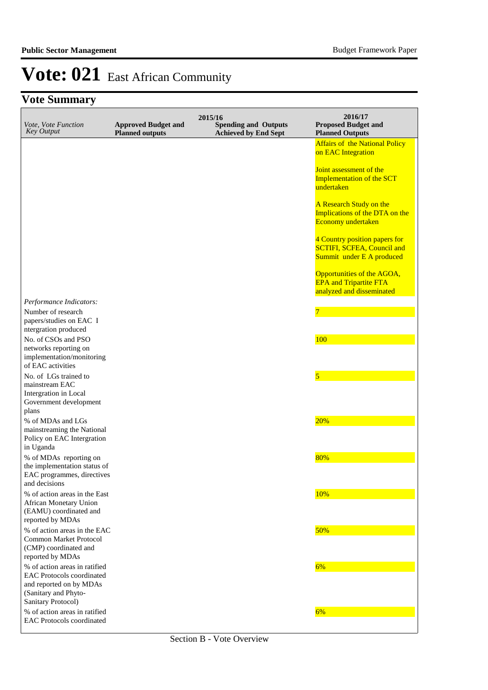| Vote, Vote Function<br><b>Key Output</b>                                                                               | <b>Approved Budget and</b><br><b>Planned outputs</b> | 2015/16<br><b>Spending and Outputs</b><br><b>Achieved by End Sept</b> | 2016/17<br><b>Proposed Budget and</b><br><b>Planned Outputs</b>                                 |
|------------------------------------------------------------------------------------------------------------------------|------------------------------------------------------|-----------------------------------------------------------------------|-------------------------------------------------------------------------------------------------|
|                                                                                                                        |                                                      |                                                                       | <b>Affairs of the National Policy</b><br>on EAC Integration                                     |
|                                                                                                                        |                                                      |                                                                       | Joint assessment of the<br><b>Implementation of the SCT</b><br>undertaken                       |
|                                                                                                                        |                                                      |                                                                       | A Research Study on the<br>Implications of the DTA on the<br>Economy undertaken                 |
|                                                                                                                        |                                                      |                                                                       | 4 Country position papers for<br><b>SCTIFI, SCFEA, Council and</b><br>Summit under E A produced |
|                                                                                                                        |                                                      |                                                                       | Opportunities of the AGOA,<br><b>EPA</b> and Tripartite FTA<br>analyzed and disseminated        |
| Performance Indicators:<br>Number of research<br>papers/studies on EAC I                                               |                                                      |                                                                       |                                                                                                 |
| ntergration produced<br>No. of CSOs and PSO<br>networks reporting on<br>implementation/monitoring<br>of EAC activities |                                                      |                                                                       | 100                                                                                             |
| No. of LGs trained to<br>mainstream EAC<br>Intergration in Local<br>Government development<br>plans                    |                                                      |                                                                       | $\overline{5}$                                                                                  |
| % of MDAs and LGs<br>mainstreaming the National<br>Policy on EAC Intergration<br>in Uganda                             |                                                      |                                                                       | 20%                                                                                             |
| % of MDAs reporting on<br>the implementation status of<br>EAC programmes, directives                                   |                                                      |                                                                       | 80%                                                                                             |
| and decisions<br>% of action areas in the East<br>African Monetary Union<br>(EAMU) coordinated and<br>reported by MDAs |                                                      |                                                                       | 10%                                                                                             |
| % of action areas in the EAC<br><b>Common Market Protocol</b><br>(CMP) coordinated and<br>reported by MDAs             |                                                      |                                                                       | 50%                                                                                             |
| % of action areas in ratified<br><b>EAC Protocols coordinated</b><br>and reported on by MDAs<br>(Sanitary and Phyto-   |                                                      |                                                                       | 6%                                                                                              |
| Sanitary Protocol)<br>% of action areas in ratified<br><b>EAC Protocols coordinated</b>                                |                                                      |                                                                       | 6%                                                                                              |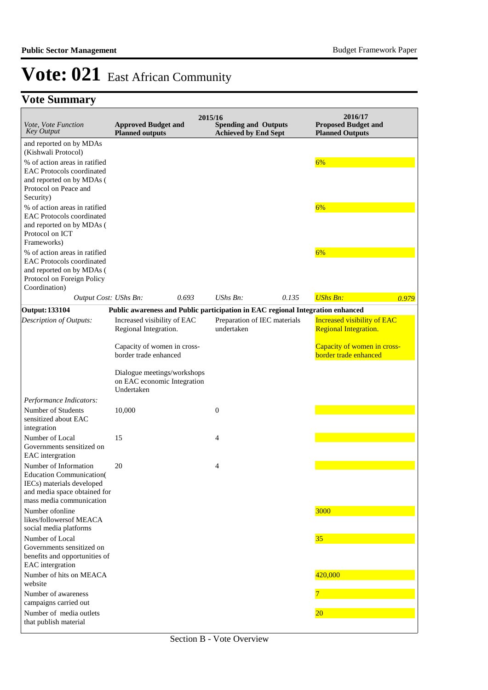| <i>Vote, Vote Function</i><br><b>Key Output</b>                                                                                                    | <b>Approved Budget and</b><br><b>Planned outputs</b>                           | 2015/16 | <b>Spending and Outputs</b><br><b>Achieved by End Sept</b> |       | 2016/17<br><b>Proposed Budget and</b><br><b>Planned Outputs</b>    |       |
|----------------------------------------------------------------------------------------------------------------------------------------------------|--------------------------------------------------------------------------------|---------|------------------------------------------------------------|-------|--------------------------------------------------------------------|-------|
| and reported on by MDAs<br>(Kishwali Protocol)                                                                                                     |                                                                                |         |                                                            |       |                                                                    |       |
| % of action areas in ratified<br><b>EAC Protocols coordinated</b>                                                                                  |                                                                                |         |                                                            |       | 6%                                                                 |       |
| and reported on by MDAs (<br>Protocol on Peace and<br>Security)                                                                                    |                                                                                |         |                                                            |       |                                                                    |       |
| % of action areas in ratified<br><b>EAC Protocols coordinated</b><br>and reported on by MDAs (<br>Protocol on ICT<br>Frameworks)                   |                                                                                |         |                                                            |       | 6%                                                                 |       |
| % of action areas in ratified<br><b>EAC Protocols coordinated</b><br>and reported on by MDAs (<br>Protocol on Foreign Policy<br>Coordination)      |                                                                                |         |                                                            |       | 6%                                                                 |       |
| Output Cost: UShs Bn:                                                                                                                              |                                                                                | 0.693   | UShs Bn:                                                   | 0.135 | <b>UShs Bn:</b>                                                    | 0.979 |
| <b>Output: 133104</b>                                                                                                                              | Public awareness and Public participation in EAC regional Integration enhanced |         |                                                            |       |                                                                    |       |
| Description of Outputs:                                                                                                                            | Increased visibility of EAC<br>Regional Integration.                           |         | Preparation of IEC materials<br>undertaken                 |       | <b>Increased visibility of EAC</b><br><b>Regional Integration.</b> |       |
|                                                                                                                                                    | Capacity of women in cross-<br>border trade enhanced                           |         |                                                            |       | Capacity of women in cross-<br>border trade enhanced               |       |
|                                                                                                                                                    | Dialogue meetings/workshops<br>on EAC economic Integration<br>Undertaken       |         |                                                            |       |                                                                    |       |
| Performance Indicators:                                                                                                                            |                                                                                |         |                                                            |       |                                                                    |       |
| Number of Students<br>sensitized about EAC<br>integration                                                                                          | 10,000                                                                         |         | $\boldsymbol{0}$                                           |       |                                                                    |       |
| Number of Local<br>Governments sensitized on<br>EAC intergration                                                                                   | 15                                                                             |         | $\overline{4}$                                             |       |                                                                    |       |
| Number of Information<br><b>Education Communication</b> (<br>IECs) materials developed<br>and media space obtained for<br>mass media communication | 20                                                                             |         | 4                                                          |       |                                                                    |       |
| Number of online<br>likes/followersof MEACA<br>social media platforms                                                                              |                                                                                |         |                                                            |       | 3000                                                               |       |
| Number of Local<br>Governments sensitized on<br>benefits and opportunities of<br>EAC intergration                                                  |                                                                                |         |                                                            |       | 35                                                                 |       |
| Number of hits on MEACA<br>website                                                                                                                 |                                                                                |         |                                                            |       | 420,000                                                            |       |
| Number of awareness<br>campaigns carried out                                                                                                       |                                                                                |         |                                                            |       |                                                                    |       |
| Number of media outlets<br>that publish material                                                                                                   |                                                                                |         |                                                            |       | $ 20\rangle$                                                       |       |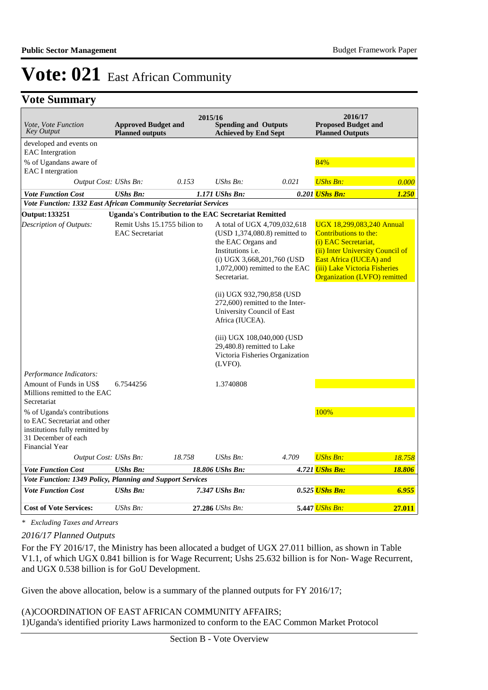## **Vote Summary**

| <i>Vote, Vote Function</i><br><b>Key Output</b>                                                                                               | <b>Approved Budget and</b><br><b>Planned outputs</b>         |        | 2015/16<br><b>Spending and Outputs</b><br><b>Achieved by End Sept</b>       |                                                                                                                                  | 2016/17<br><b>Proposed Budget and</b><br><b>Planned Outputs</b>                                                                                                                                                   |        |
|-----------------------------------------------------------------------------------------------------------------------------------------------|--------------------------------------------------------------|--------|-----------------------------------------------------------------------------|----------------------------------------------------------------------------------------------------------------------------------|-------------------------------------------------------------------------------------------------------------------------------------------------------------------------------------------------------------------|--------|
| developed and events on                                                                                                                       |                                                              |        |                                                                             |                                                                                                                                  |                                                                                                                                                                                                                   |        |
| <b>EAC</b> Intergration<br>% of Ugandans aware of                                                                                             |                                                              |        |                                                                             |                                                                                                                                  | 84%                                                                                                                                                                                                               |        |
| <b>EAC</b> I ntergration                                                                                                                      |                                                              |        |                                                                             |                                                                                                                                  |                                                                                                                                                                                                                   |        |
| Output Cost: UShs Bn:                                                                                                                         |                                                              | 0.153  | $UShs Bn$ :                                                                 | 0.021                                                                                                                            | <b>UShs Bn:</b>                                                                                                                                                                                                   | 0.000  |
| <b>Vote Function Cost</b>                                                                                                                     | <b>UShs Bn:</b>                                              |        | 1.171 UShs Bn:                                                              |                                                                                                                                  | 0.201 <i>UShs Bn:</i>                                                                                                                                                                                             | 1.250  |
| Vote Function: 1332 East African Community Secretariat Services                                                                               |                                                              |        |                                                                             |                                                                                                                                  |                                                                                                                                                                                                                   |        |
| Output: 133251                                                                                                                                | <b>Uganda's Contribution to the EAC Secretariat Remitted</b> |        |                                                                             |                                                                                                                                  |                                                                                                                                                                                                                   |        |
| Description of Outputs:                                                                                                                       | Remit Ushs 15.1755 bilion to<br><b>EAC</b> Secretariat       |        | the EAC Organs and<br>Institutions <i>i.e.</i><br>Secretariat.              | A total of UGX 4,709,032,618<br>(USD 1,374,080.8) remitted to<br>(i) UGX $3,668,201,760$ (USD<br>$1,072,000$ remitted to the EAC | UGX 18,299,083,240 Annual<br>Contributions to the:<br>(i) EAC Secretariat,<br>(ii) Inter University Council of<br>East Africa (IUCEA) and<br>(iii) Lake Victoria Fisheries<br><b>Organization (LVFO) remitted</b> |        |
|                                                                                                                                               |                                                              |        | (ii) UGX 932,790,858 (USD)<br>University Council of East<br>Africa (IUCEA). | 272,600) remitted to the Inter-                                                                                                  |                                                                                                                                                                                                                   |        |
|                                                                                                                                               |                                                              |        | 29,480.8) remitted to Lake<br>(LVFO).                                       | (iii) UGX 108,040,000 (USD<br>Victoria Fisheries Organization                                                                    |                                                                                                                                                                                                                   |        |
| Performance Indicators:                                                                                                                       |                                                              |        |                                                                             |                                                                                                                                  |                                                                                                                                                                                                                   |        |
| Amount of Funds in US\$<br>Millions remitted to the EAC<br>Secretariat                                                                        | 6.7544256                                                    |        | 1.3740808                                                                   |                                                                                                                                  |                                                                                                                                                                                                                   |        |
| % of Uganda's contributions<br>to EAC Secretariat and other<br>institutions fully remitted by<br>31 December of each<br><b>Financial Year</b> |                                                              |        |                                                                             |                                                                                                                                  | 100%                                                                                                                                                                                                              |        |
| Output Cost: UShs Bn:                                                                                                                         |                                                              | 18.758 | $UShs Bn$ :                                                                 | 4.709                                                                                                                            | <b>UShs Bn:</b>                                                                                                                                                                                                   | 18.758 |
| <b>Vote Function Cost</b>                                                                                                                     | <b>UShs Bn:</b>                                              |        | 18.806 UShs Bn:                                                             |                                                                                                                                  | 4.721 UShs Bn:                                                                                                                                                                                                    | 18.806 |
| Vote Function: 1349 Policy, Planning and Support Services                                                                                     |                                                              |        |                                                                             |                                                                                                                                  |                                                                                                                                                                                                                   |        |
| <b>Vote Function Cost</b>                                                                                                                     | <b>UShs Bn:</b>                                              |        | 7.347 UShs Bn:                                                              |                                                                                                                                  | 0.525 UShs Bn:                                                                                                                                                                                                    | 6.955  |
| <b>Cost of Vote Services:</b>                                                                                                                 | UShs Bn:                                                     |        | 27.286 UShs Bn:                                                             |                                                                                                                                  | 5.447 UShs Bn:                                                                                                                                                                                                    | 27.011 |

*\* Excluding Taxes and Arrears*

### *2016/17 Planned Outputs*

For the FY 2016/17, the Ministry has been allocated a budget of UGX 27.011 billion, as shown in Table V1.1, of which UGX 0.841 billion is for Wage Recurrent; Ushs 25.632 billion is for Non- Wage Recurrent, and UGX 0.538 billion is for GoU Development.

Given the above allocation, below is a summary of the planned outputs for FY 2016/17;

### (A)COORDINATION OF EAST AFRICAN COMMUNITY AFFAIRS; 1) Uganda's identified priority Laws harmonized to conform to the EAC Common Market Protocol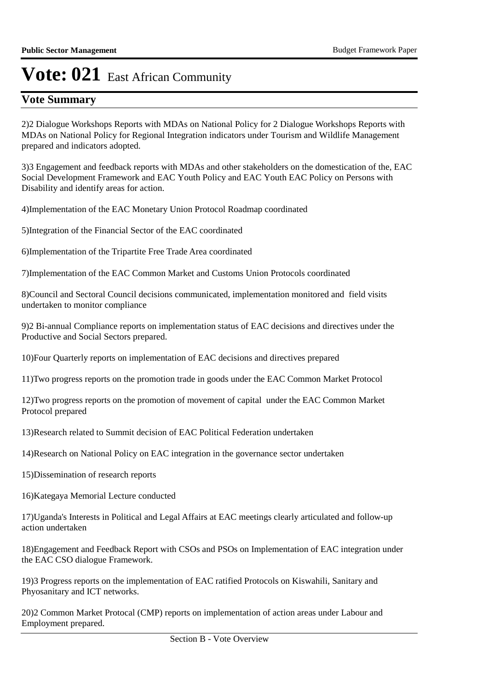## **Vote Summary**

2) 2 Dialogue Workshops Reports with MDAs on National Policy for 2 Dialogue Workshops Reports with MDAs on National Policy for Regional Integration indicators under Tourism and Wildlife Management prepared and indicators adopted.

3) 3 Engagement and feedback reports with MDAs and other stakeholders on the domestication of the, EAC Social Development Framework and EAC Youth Policy and EAC Youth EAC Policy on Persons with Disability and identify areas for action.

4) Implementation of the EAC Monetary Union Protocol Roadmap coordinated

5) Integration of the Financial Sector of the EAC coordinated

6) Implementation of the Tripartite Free Trade Area coordinated

7) Implementation of the EAC Common Market and Customs Union Protocols coordinated

8) Council and Sectoral Council decisions communicated, implementation monitored and field visits undertaken to monitor compliance

9)2 Bi-annual Compliance reports on implementation status of EAC decisions and directives under the Productive and Social Sectors prepared.

10) Four Quarterly reports on implementation of EAC decisions and directives prepared

11) Two progress reports on the promotion trade in goods under the EAC Common Market Protocol

12) Two progress reports on the promotion of movement of capital under the EAC Common Market Protocol prepared

13) Research related to Summit decision of EAC Political Federation undertaken

14) Research on National Policy on EAC integration in the governance sector undertaken

15) Dissemination of research reports

16) Kategaya Memorial Lecture conducted

17) Uganda's Interests in Political and Legal Affairs at EAC meetings clearly articulated and follow-up action undertaken

18) Engagement and Feedback Report with CSOs and PSOs on Implementation of EAC integration under the EAC CSO dialogue Framework.

19)3 Progress reports on the implementation of EAC ratified Protocols on Kiswahili, Sanitary and Phyosanitary and ICT networks.

20)2 Common Market Protocal (CMP) reports on implementation of action areas under Labour and Employment prepared.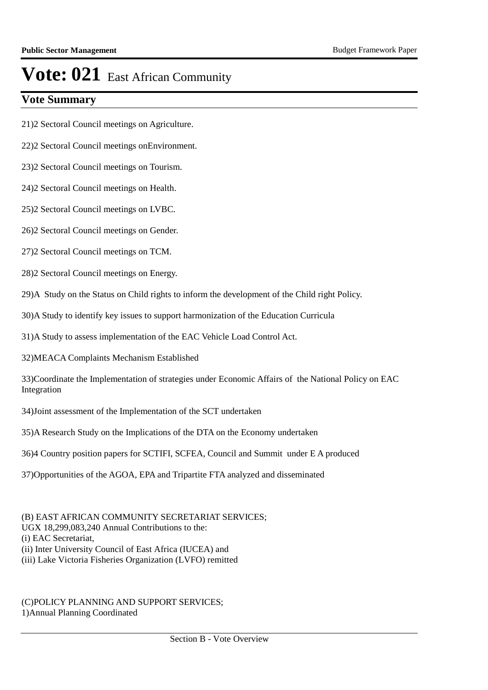## **Vote Summary**

21)2 Sectoral Council meetings on Agriculture.

22)2 Sectoral Council meetings onEnvironment.

23)2 Sectoral Council meetings on Tourism.

24)2 Sectoral Council meetings on Health.

25)2 Sectoral Council meetings on LVBC.

26)2 Sectoral Council meetings on Gender.

27)2 Sectoral Council meetings on TCM.

28)2 Sectoral Council meetings on Energy.

29) A Study on the Status on Child rights to inform the development of the Child right Policy.

30) A Study to identify key issues to support harmonization of the Education Curricula

31) A Study to assess implementation of the EAC Vehicle Load Control Act.

32) MEACA Complaints Mechanism Established

33) Coordinate the Implementation of strategies under Economic Affairs of the National Policy on EAC Integration

34) Joint assessment of the Implementation of the SCT undertaken

35) A Research Study on the Implications of the DTA on the Economy undertaken

36)4 Country position papers for SCTIFI, SCFEA, Council and Summit under E A produced

37) Opportunities of the AGOA, EPA and Tripartite FTA analyzed and disseminated

(B) EAST AFRICAN COMMUNITY SECRETARIAT SERVICES: UGX 18,299,083,240 Annual Contributions to the: (i) EAC Secretariat, (ii) Inter University Council of East Africa (IUCEA) and (iii) Lake Victoria Fisheries Organization (LVFO) remitted

(C)POLICY PLANNING AND SUPPORT SERVICES; 1) Annual Planning Coordinated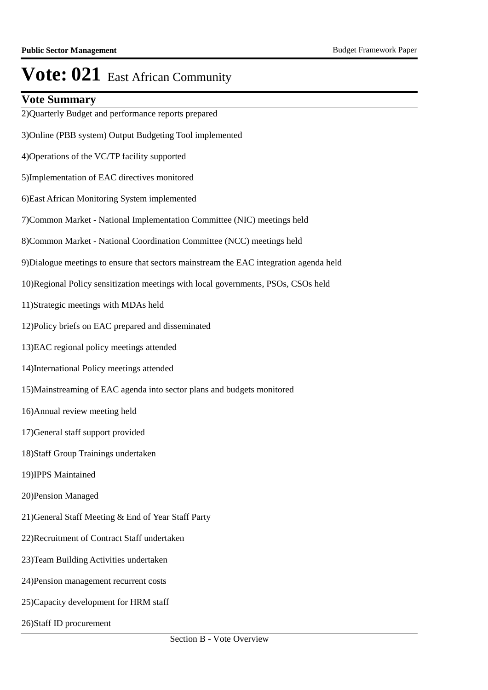## **Vote Summary**

2) Quarterly Budget and performance reports prepared 3) Online (PBB system) Output Budgeting Tool implemented 4) Operations of the VC/TP facility supported 5) Implementation of EAC directives monitored 6) East African Monitoring System implemented 7) Common Market - National Implementation Committee (NIC) meetings held 8) Common Market - National Coordination Committee (NCC) meetings held 9) Dialogue meetings to ensure that sectors mainstream the EAC integration agenda held 10) Regional Policy sensitization meetings with local governments, PSOs, CSOs held 11) Strategic meetings with MDAs held 12) Policy briefs on EAC prepared and disseminated 13) EAC regional policy meetings attended 14) International Policy meetings attended 15) Mainstreaming of EAC agenda into sector plans and budgets monitored 16) Annual review meeting held 17) General staff support provided 18) Staff Group Trainings undertaken 19) IPPS Maintained 20) Pension Managed 21) General Staff Meeting & End of Year Staff Party 22) Recruitment of Contract Staff undertaken 23) Team Building Activities undertaken 24) Pension management recurrent costs 25) Capacity development for HRM staff 26) Staff ID procurement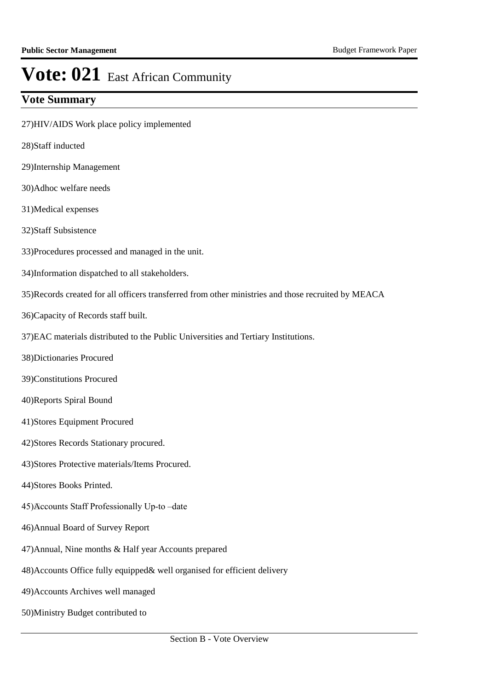- 27) HIV/AIDS Work place policy implemented
- 28) Staff inducted
- 29) Internship Management
- 30) Adhoc welfare needs
- 31) Medical expenses
- 32) Staff Subsistence
- 33) Procedures processed and managed in the unit.
- 34) Information dispatched to all stakeholders.
- 35) Records created for all officers transferred from other ministries and those recruited by MEACA
- 36) Capacity of Records staff built.
- 37) EAC materials distributed to the Public Universities and Tertiary Institutions.
- 38) Dictionaries Procured
- 39) Constitutions Procured
- 40) Reports Spiral Bound
- 41) Stores Equipment Procured
- 42) Stores Records Stationary procured.
- 43) Stores Protective materials/Items Procured.
- 44) Stores Books Printed.
- 45) Accounts Staff Professionally Up-to –date
- 46) Annual Board of Survey Report
- 47) Annual, Nine months & Half year Accounts prepared
- 48) Accounts Office fully equipped & well organised for efficient delivery
- 49) Accounts Archives well managed
- 50) Ministry Budget contributed to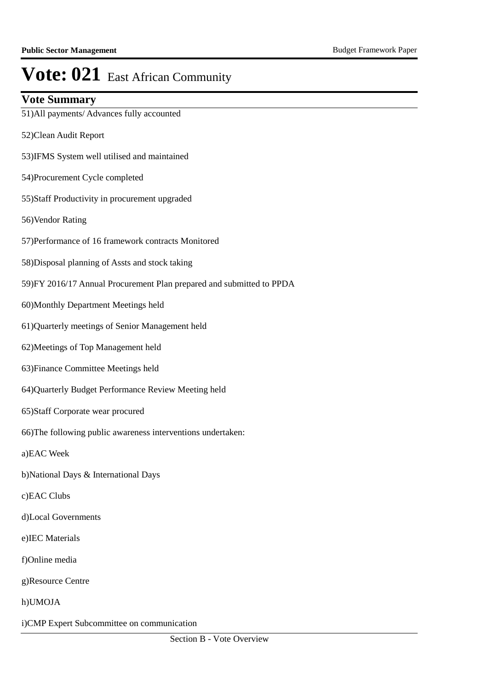## **Vote Summary**

51) All payments/ Advances fully accounted

- 52) Clean Audit Report
- 53)IFMS System well utilised and maintained
- 54) Procurement Cycle completed
- 55) Staff Productivity in procurement upgraded
- 56) Vendor Rating
- 57) Performance of 16 framework contracts Monitored
- 58) Disposal planning of Assts and stock taking
- 59) FY 2016/17 Annual Procurement Plan prepared and submitted to PPDA
- 60) Monthly Department Meetings held
- 61) Quarterly meetings of Senior Management held
- 62) Meetings of Top Management held
- 63) Finance Committee Meetings held
- 64) Quarterly Budget Performance Review Meeting held
- 65) Staff Corporate wear procured
- 66) The following public awareness interventions undertaken:
- a)EAC Week
- b) National Days & International Days
- c)EAC Clubs
- d)Local Governments
- e)IEC Materials
- f)Online media
- g)Resource Centre
- h)UMOJA
- i) CMP Expert Subcommittee on communication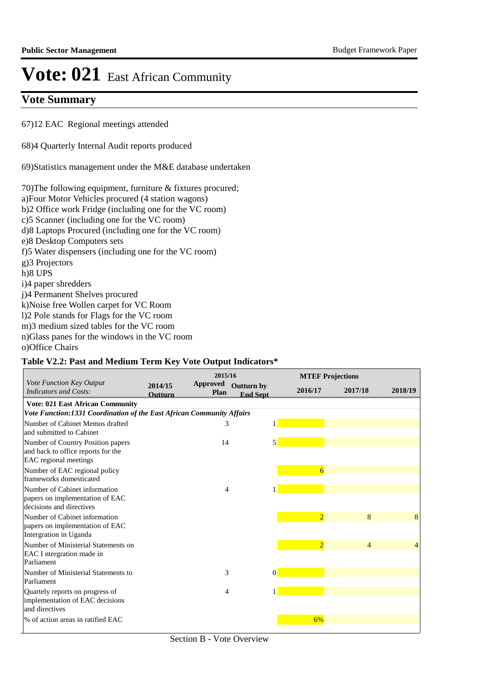## **Vote Summary**

67) 12 EAC Regional meetings attended

68)4 Quarterly Internal Audit reports produced

69) Statistics management under the M&E database undertaken

70) The following equipment, furniture  $&$  fixtures procured; a) Four Motor Vehicles procured (4 station wagons) b)2 Office work Fridge (including one for the VC room) c) 5 Scanner (including one for the VC room) d)8 Laptops Procured (including one for the VC room) e) 8 Desktop Computers sets f)5 Water dispensers (including one for the VC room) g)3 Projectors h)8 UPS i)4 paper shredders j)4 Permanent Shelves procured k) Noise free Wollen carpet for VC Room l)2 Pole stands for Flags for the VC room m)3 medium sized tables for the VC room n) Glass panes for the windows in the VC room o) Office Chairs

### **Table V2.2: Past and Medium Term Key Vote Output Indicators\***

|                                                                                                  |                           | 2015/16                 |                                      |          | <b>MTEF Projections</b> |                |         |
|--------------------------------------------------------------------------------------------------|---------------------------|-------------------------|--------------------------------------|----------|-------------------------|----------------|---------|
| Vote Function Key Output<br><b>Indicators and Costs:</b>                                         | 2014/15<br><b>Outturn</b> | <b>Approved</b><br>Plan | <b>Outturn by</b><br><b>End Sept</b> |          | 2016/17                 | 2017/18        | 2018/19 |
| <b>Vote: 021 East African Community</b>                                                          |                           |                         |                                      |          |                         |                |         |
| Vote Function:1331 Coordination of the East African Community Affairs                            |                           |                         |                                      |          |                         |                |         |
| Number of Cabinet Memos drafted<br>and submitted to Cabinet                                      |                           | 3                       |                                      | 1        |                         |                |         |
| Number of Country Position papers<br>and back to office reports for the<br>EAC regional meetings |                           | 14                      |                                      | 5        |                         |                |         |
| Number of EAC regional policy<br>frameworks domesticated                                         |                           |                         |                                      |          | 6                       |                |         |
| Number of Cabinet information<br>papers on implementation of EAC<br>decisions and directives     |                           | 4                       |                                      |          |                         |                |         |
| Number of Cabinet information<br>papers on implementation of EAC<br>Intergration in Uganda       |                           |                         |                                      |          | $\overline{2}$          | 8              | 8       |
| Number of Ministerial Statements on<br>EAC I ntergration made in<br>Parliament                   |                           |                         |                                      |          | $\overline{2}$          | $\overline{4}$ | 4       |
| Number of Ministerial Statements to<br>Parliament                                                |                           | 3                       |                                      | $\Omega$ |                         |                |         |
| Quartely reports on progress of<br>implementation of EAC decisions<br>and directives             |                           | 4                       |                                      |          |                         |                |         |
| % of action areas in ratified EAC                                                                |                           |                         |                                      |          | 6%                      |                |         |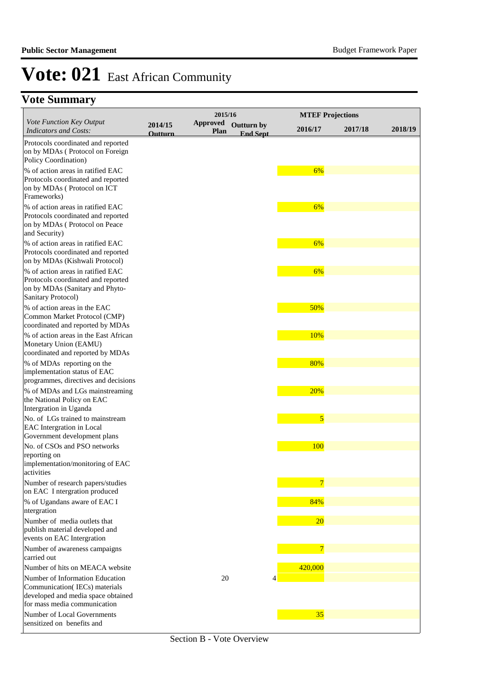|                                                                                                                                                                           | 2015/16                   |                         |                                      | <b>MTEF Projections</b> |         |         |
|---------------------------------------------------------------------------------------------------------------------------------------------------------------------------|---------------------------|-------------------------|--------------------------------------|-------------------------|---------|---------|
| Vote Function Key Output<br><b>Indicators and Costs:</b>                                                                                                                  | 2014/15<br><b>Outturn</b> | <b>Approved</b><br>Plan | <b>Outturn by</b><br><b>End Sept</b> | 2016/17                 | 2017/18 | 2018/19 |
| Protocols coordinated and reported<br>on by MDAs (Protocol on Foreign<br>Policy Coordination)                                                                             |                           |                         |                                      |                         |         |         |
| % of action areas in ratified EAC<br>Protocols coordinated and reported<br>on by MDAs (Protocol on ICT<br>Frameworks)                                                     |                           |                         |                                      | 6%                      |         |         |
| % of action areas in ratified EAC<br>Protocols coordinated and reported<br>on by MDAs (Protocol on Peace<br>and Security)                                                 |                           |                         |                                      | 6%                      |         |         |
| % of action areas in ratified EAC<br>Protocols coordinated and reported<br>on by MDAs (Kishwali Protocol)                                                                 |                           |                         |                                      | 6%                      |         |         |
| % of action areas in ratified EAC<br>Protocols coordinated and reported<br>on by MDAs (Sanitary and Phyto-<br>Sanitary Protocol)                                          |                           |                         |                                      | 6%                      |         |         |
| % of action areas in the EAC<br>Common Market Protocol (CMP)<br>coordinated and reported by MDAs                                                                          |                           |                         |                                      | 50%                     |         |         |
| % of action areas in the East African<br>Monetary Union (EAMU)<br>coordinated and reported by MDAs                                                                        |                           |                         |                                      | 10%                     |         |         |
| % of MDAs reporting on the<br>implementation status of EAC<br>programmes, directives and decisions                                                                        |                           |                         |                                      | 80%                     |         |         |
| % of MDAs and LGs mainstreaming<br>the National Policy on EAC<br>Intergration in Uganda                                                                                   |                           |                         |                                      | 20%                     |         |         |
| No. of LGs trained to mainstream<br>EAC Intergration in Local<br>Government development plans                                                                             |                           |                         |                                      | 5                       |         |         |
| No. of CSOs and PSO networks<br>reporting on<br>implementation/monitoring of EAC<br>activities                                                                            |                           |                         |                                      | <b>100</b>              |         |         |
| Number of research papers/studies<br>on EAC I ntergration produced                                                                                                        |                           |                         |                                      | $\overline{7}$<br>84%   |         |         |
| % of Ugandans aware of EAC I<br>ntergration<br>Number of media outlets that                                                                                               |                           |                         |                                      |                         |         |         |
| publish material developed and<br>events on EAC Intergration                                                                                                              |                           |                         |                                      | <b>20</b>               |         |         |
| Number of awareness campaigns<br>carried out                                                                                                                              |                           |                         |                                      | $\overline{7}$          |         |         |
| Number of hits on MEACA website<br>Number of Information Education<br>Communication(IECs) materials<br>developed and media space obtained<br>for mass media communication |                           | 20                      |                                      | 420,000<br>4            |         |         |
| Number of Local Governments<br>sensitized on benefits and                                                                                                                 |                           |                         |                                      | 35                      |         |         |

Section B - Vote Overview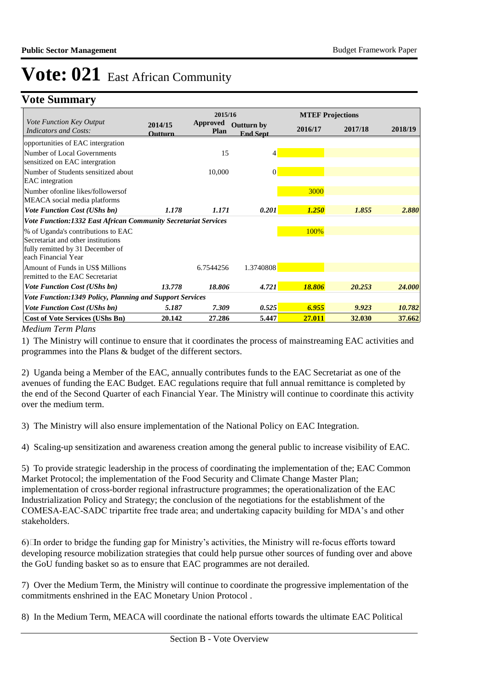## **Vote Summary**

|                                                                                                                                     | 2015/16            |                                |                                      | <b>MTEF Projections</b> |         |         |  |
|-------------------------------------------------------------------------------------------------------------------------------------|--------------------|--------------------------------|--------------------------------------|-------------------------|---------|---------|--|
| Vote Function Key Output<br>Indicators and Costs:                                                                                   | 2014/15<br>Outturn | <b>Approved</b><br><b>Plan</b> | <b>Outturn by</b><br><b>End Sept</b> | 2016/17                 | 2017/18 | 2018/19 |  |
| opportunities of EAC intergration                                                                                                   |                    |                                |                                      |                         |         |         |  |
| Number of Local Governments<br>sensitized on EAC intergration                                                                       |                    | 15                             | 4                                    |                         |         |         |  |
| Number of Students sensitized about<br><b>EAC</b> integration                                                                       |                    | 10,000                         | $\theta$                             |                         |         |         |  |
| Number of online likes/followers of<br>MEACA social media platforms                                                                 |                    |                                |                                      | 3000                    |         |         |  |
| <b>Vote Function Cost (UShs bn)</b>                                                                                                 | 1.178              | 1.171                          | 0.201                                | 1.250                   | 1.855   | 2.880   |  |
| Vote Function:1332 East African Community Secretariat Services                                                                      |                    |                                |                                      |                         |         |         |  |
| % of Uganda's contributions to EAC<br>Secretariat and other institutions<br>fully remitted by 31 December of<br>each Financial Year |                    |                                |                                      | 100%                    |         |         |  |
| Amount of Funds in US\$ Millions<br>remitted to the EAC Secretariat                                                                 |                    | 6.7544256                      | 1.3740808                            |                         |         |         |  |
| <b>Vote Function Cost (UShs bn)</b>                                                                                                 | 13.778             | 18.806                         | 4.721                                | 18.806                  | 20.253  | 24.000  |  |
| Vote Function:1349 Policy, Planning and Support Services                                                                            |                    |                                |                                      |                         |         |         |  |
| <b>Vote Function Cost (UShs bn)</b>                                                                                                 | 5.187              | 7.309                          | 0.525                                | 6.955                   | 9.923   | 10.782  |  |
| <b>Cost of Vote Services (UShs Bn)</b>                                                                                              | 20.142             | 27.286                         | 5.447                                | 27.011                  | 32.030  | 37.662  |  |

*Medium Term Plans*

1) The Ministry will continue to ensure that it coordinates the process of mainstreaming EAC activities and programmes into the Plans & budget of the different sectors.

2) Uganda being a Member of the EAC, annually contributes funds to the EAC Secretariat as one of the avenues of funding the EAC Budget. EAC regulations require that full annual remittance is completed by the end of the Second Quarter of each Financial Year. The Ministry will continue to coordinate this activity over the medium term.

3) The Ministry will also ensure implementation of the National Policy on EAC Integration.

4) Scaling-up sensitization and awareness creation among the general public to increase visibility of EAC.

5) To provide strategic leadership in the process of coordinating the implementation of the; EAC Common Market Protocol; the implementation of the Food Security and Climate Change Master Plan; implementation of cross-border regional infrastructure programmes; the operationalization of the EAC Industrialization Policy and Strategy; the conclusion of the negotiations for the establishment of the COMESA-EAC-SADC tripartite free trade area; and undertaking capacity building for MDA's and other stakeholders.

 $6$  In order to bridge the funding gap for Ministry's activities, the Ministry will re-focus efforts toward developing resource mobilization strategies that could help pursue other sources of funding over and above the GoU funding basket so as to ensure that EAC programmes are not derailed.

7) Over the Medium Term, the Ministry will continue to coordinate the progressive implementation of the commitments enshrined in the EAC Monetary Union Protocol .

8) In the Medium Term, MEACA will coordinate the national efforts towards the ultimate EAC Political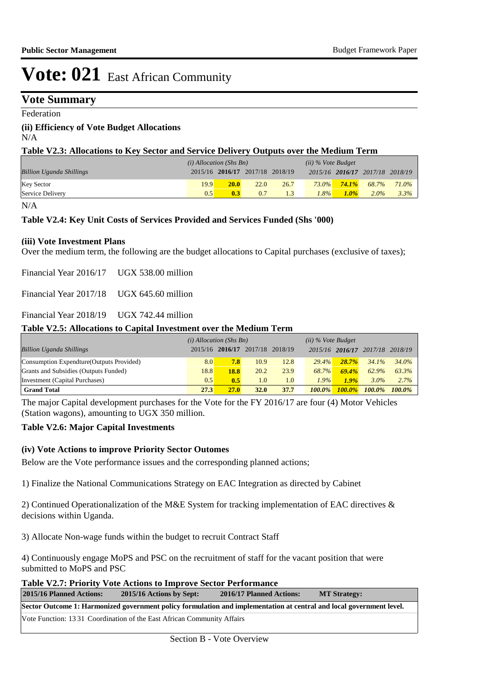## **Vote Summary**

Federation

### **(ii) Efficiency of Vote Budget Allocations**

N/A

| Table V2.3: Allocations to Key Sector and Service Delivery Outputs over the Medium Term |  |
|-----------------------------------------------------------------------------------------|--|
|-----------------------------------------------------------------------------------------|--|

|                                 | $(i)$ Allocation (Shs Bn) |      |                                 |      | $(ii)$ % Vote Budget |          |                                 |       |
|---------------------------------|---------------------------|------|---------------------------------|------|----------------------|----------|---------------------------------|-------|
| <b>Billion Uganda Shillings</b> |                           |      | 2015/16 2016/17 2017/18 2018/19 |      |                      |          | 2015/16 2016/17 2017/18 2018/19 |       |
| <b>Key Sector</b>               | 19.9                      | 20.0 | 22.0                            | 26.7 | $73.0\%$             | $74.1\%$ | 68.7%                           | 71.0% |
| Service Delivery                | 0.5                       | 0.3  | 0.7                             |      | 8%                   | $1.0\%$  | $2.0\%$                         | 3.3%  |

### N/A

### **Table V2.4: Key Unit Costs of Services Provided and Services Funded (Shs '000)**

### **(iii) Vote Investment Plans**

Over the medium term, the following are the budget allocations to Capital purchases (exclusive of taxes);

Financial Year 2016/17 UGX 538.00 million

Financial Year 2017/18 UGX 645.60 million

Financial Year 2018/19 UGX 742.44 million

### **Table V2.5: Allocations to Capital Investment over the Medium Term**

|                                           | $(i)$ Allocation (Shs Bn) |                                 |             |      | $(ii)$ % Vote Budget |                 |           |           |
|-------------------------------------------|---------------------------|---------------------------------|-------------|------|----------------------|-----------------|-----------|-----------|
| <b>Billion Uganda Shillings</b>           |                           | 2015/16 2016/17 2017/18 2018/19 |             |      |                      | 2015/16 2016/17 | 2017/18   | 2018/19   |
| Consumption Expendture (Outputs Provided) | 8.0                       | 7.8                             | 10.9        | 12.8 | 29.4%                | $28.7\%$        | $34.1\%$  | 34.0%     |
| Grants and Subsidies (Outputs Funded)     | 18.8                      | 18.8                            | 20.2        | 23.9 | 68.7%                | 69.4%           | 62.9%     | 63.3%     |
| Investment (Capital Purchases)            | 0.5                       | 0.5                             | 1.0         | 1.0  | 1.9%                 | 1.9%            | $3.0\%$   | 2.7%      |
| <b>Grand Total</b>                        | 27.3                      | 27.0                            | <b>32.0</b> | 37.7 | $100.0\%$            | $100.0\%$       | $100.0\%$ | $100.0\%$ |

The major Capital development purchases for the Vote for the FY 2016/17 are four (4) Motor Vehicles (Station wagons), amounting to UGX 350 million.

### **Table V2.6: Major Capital Investments**

### **(iv) Vote Actions to improve Priority Sector Outomes**

Below are the Vote performance issues and the corresponding planned actions;

1) Finalize the National Communications Strategy on EAC Integration as directed by Cabinet

2) Continued Operationalization of the M&E System for tracking implementation of EAC directives  $\&$ decisions within Uganda.

3) Allocate Non-wage funds within the budget to recruit Contract Staff

4) Continuously engage MoPS and PSC on the recruitment of staff for the vacant position that were submitted to MoPS and PSC

**Table V2.7: Priority Vote Actions to Improve Sector Performance** 

| 2015/16 Planned Actions: | 2015/16 Actions by Sept:                                                                                             | 2016/17 Planned Actions: | <b>MT Strategy:</b> |
|--------------------------|----------------------------------------------------------------------------------------------------------------------|--------------------------|---------------------|
|                          | Sector Outcome 1: Harmonized government policy formulation and implementation at central and local government level. |                          |                     |
|                          | Vote Function: 13.31 Coordination of the East African Community Affairs                                              |                          |                     |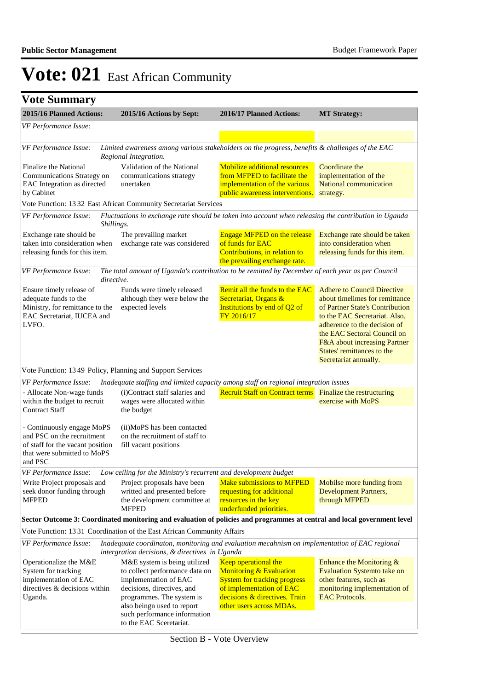| 2015/16 Planned Actions:                                                                                                               | 2015/16 Actions by Sept:                                                                                                                                                         | 2016/17 Planned Actions:<br><b>MT Strategy:</b>                                                                                                                                            |                                                                                                                                                                                                                                                                                                |
|----------------------------------------------------------------------------------------------------------------------------------------|----------------------------------------------------------------------------------------------------------------------------------------------------------------------------------|--------------------------------------------------------------------------------------------------------------------------------------------------------------------------------------------|------------------------------------------------------------------------------------------------------------------------------------------------------------------------------------------------------------------------------------------------------------------------------------------------|
| VF Performance Issue:                                                                                                                  |                                                                                                                                                                                  |                                                                                                                                                                                            |                                                                                                                                                                                                                                                                                                |
|                                                                                                                                        |                                                                                                                                                                                  |                                                                                                                                                                                            |                                                                                                                                                                                                                                                                                                |
| VF Performance Issue:                                                                                                                  | Limited awareness among various stakeholders on the progress, benefits & challenges of the EAC<br>Regional Integration.                                                          |                                                                                                                                                                                            |                                                                                                                                                                                                                                                                                                |
| Finalize the National<br>Communications Strategy on<br>EAC Integration as directed<br>by Cabinet                                       | Validation of the National<br>communications strategy<br>unertaken                                                                                                               | <b>Mobilize additional resources</b><br>from MFPED to facilitate the<br>implementation of the various<br>public awareness interventions.                                                   | Coordinate the<br>implementation of the<br><b>National communication</b><br>strategy.                                                                                                                                                                                                          |
|                                                                                                                                        | Vote Function: 13 32 East African Community Secretariat Services                                                                                                                 |                                                                                                                                                                                            |                                                                                                                                                                                                                                                                                                |
| VF Performance Issue:                                                                                                                  | Fluctuations in exchange rate should be taken into account when releasing the contribution in Uganda<br>Shillings.                                                               |                                                                                                                                                                                            |                                                                                                                                                                                                                                                                                                |
| Exchange rate should be<br>taken into consideration when<br>releasing funds for this item.                                             | The prevailing market<br>exchange rate was considered                                                                                                                            | <b>Engage MFPED on the release</b><br>of funds for EAC<br>Contributions, in relation to<br>the prevailing exchange rate.                                                                   | Exchange rate should be taken<br>into consideration when<br>releasing funds for this item.                                                                                                                                                                                                     |
| VF Performance Issue:                                                                                                                  | The total amount of Uganda's contribution to be remitted by December of each year as per Council<br>directive.                                                                   |                                                                                                                                                                                            |                                                                                                                                                                                                                                                                                                |
| Ensure timely release of<br>adequate funds to the<br>Ministry, for remittance to the<br>EAC Secretariat, IUCEA and<br>LVFO.            | Funds were timely released<br>although they were below the<br>expected levels                                                                                                    | Remit all the funds to the EAC<br>Secretariat, Organs &<br>Institutions by end of Q2 of<br>FY 2016/17                                                                                      | <b>Adhere to Council Directive</b><br>about timelimes for remittance<br>of Partner State's Contribution<br>to the EAC Secretariat. Also,<br>adherence to the decision of<br>the EAC Sectoral Council on<br>F&A about increasing Partner<br>States' remittances to the<br>Secretariat annually. |
|                                                                                                                                        | Vote Function: 13 49 Policy, Planning and Support Services                                                                                                                       |                                                                                                                                                                                            |                                                                                                                                                                                                                                                                                                |
| VF Performance Issue:                                                                                                                  | Inadequate staffing and limited capacity among staff on regional integration issues                                                                                              |                                                                                                                                                                                            |                                                                                                                                                                                                                                                                                                |
| - Allocate Non-wage funds<br>within the budget to recruit<br><b>Contract Staff</b>                                                     | (i)Contract staff salaries and<br>wages were allocated within<br>the budget                                                                                                      | <b>Recruit Staff on Contract terms</b> Finalize the restructuring                                                                                                                          | exercise with MoPS                                                                                                                                                                                                                                                                             |
| - Continuously engage MoPS<br>and PSC on the recruitment<br>of staff for the vacant position<br>that were submitted to MoPS<br>and PSC | (ii)MoPS has been contacted<br>on the recruitment of staff to<br>fill vacant positions                                                                                           |                                                                                                                                                                                            |                                                                                                                                                                                                                                                                                                |
| VF Performance Issue:                                                                                                                  | Low ceiling for the Ministry's recurrent and development budget                                                                                                                  |                                                                                                                                                                                            |                                                                                                                                                                                                                                                                                                |
| Write Project proposals and<br>seek donor funding through<br><b>MFPED</b>                                                              | Project proposals have been<br>writted and presented before<br>the development committee at<br><b>MFPED</b>                                                                      | <b>Make submissions to MFPED</b><br>requesting for additional<br>resources in the key<br>underfunded priorities.                                                                           | Mobilse more funding from<br>Development Partners,<br>through MFPED                                                                                                                                                                                                                            |
|                                                                                                                                        | Sector Outcome 3: Coordinated monitoring and evaluation of policies and programmes at central and local government level                                                         |                                                                                                                                                                                            |                                                                                                                                                                                                                                                                                                |
|                                                                                                                                        | Vote Function: 1331 Coordination of the East African Community Affairs                                                                                                           |                                                                                                                                                                                            |                                                                                                                                                                                                                                                                                                |
| VF Performance Issue:                                                                                                                  | Inadequate coordinaton, monitoring and evaluation mecahnism on implementation of EAC regional<br>intergration decisions, & directives in Uganda                                  |                                                                                                                                                                                            |                                                                                                                                                                                                                                                                                                |
| Operationalize the M&E<br>System for tracking<br>implementation of EAC<br>directives & decisions within<br>Uganda.                     | M&E system is being utilized<br>to collect performance data on<br>implementation of EAC<br>decisions, directives, and<br>programmes. The system is<br>also beingn used to report | Keep operational the<br><b>Monitoring &amp; Evaluation</b><br><b>System for tracking progress</b><br>of implementation of EAC<br>decisions & directives. Train<br>other users across MDAs. | Enhance the Monitoring $&$<br><b>Evaluation Systemto take on</b><br>other features, such as<br>monitoring implementation of<br><b>EAC Protocols.</b>                                                                                                                                           |
|                                                                                                                                        | such performance information<br>to the EAC Sceretariat.                                                                                                                          |                                                                                                                                                                                            |                                                                                                                                                                                                                                                                                                |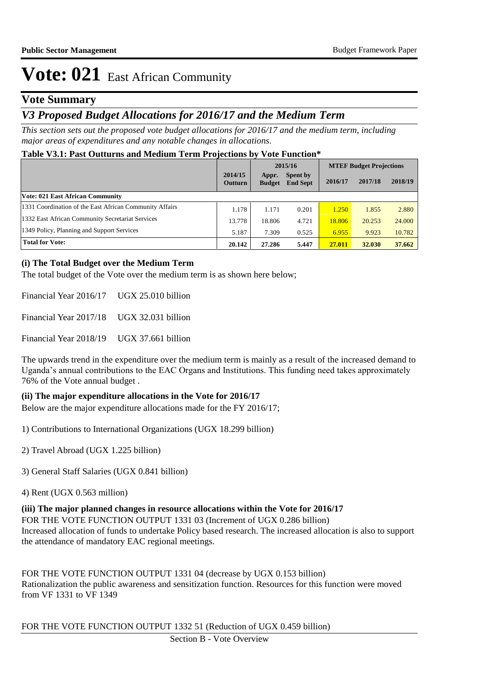### **Vote Summary**

## *V3 Proposed Budget Allocations for 2016/17 and the Medium Term*

*This section sets out the proposed vote budget allocations for 2016/17 and the medium term, including major areas of expenditures and any notable changes in allocations.* 

### **Table V3.1: Past Outturns and Medium Term Projections by Vote Function\***

|                                                         |                           | 2015/16                |                                    | <b>MTEF Budget Projections</b> |         |         |
|---------------------------------------------------------|---------------------------|------------------------|------------------------------------|--------------------------------|---------|---------|
|                                                         | 2014/15<br><b>Outturn</b> | Appr.<br><b>Budget</b> | <b>Spent by</b><br><b>End Sept</b> | 2016/17                        | 2017/18 | 2018/19 |
| <b>Vote: 021 East African Community</b>                 |                           |                        |                                    |                                |         |         |
| 1331 Coordination of the East African Community Affairs | 1.178                     | 1.171                  | 0.201                              | 1.250                          | 1.855   | 2.880   |
| 1332 East African Community Secretariat Services        | 13.778                    | 18.806                 | 4.721                              | 18.806                         | 20.253  | 24,000  |
| 1349 Policy, Planning and Support Services              | 5.187                     | 7.309                  | 0.525                              | 6.955                          | 9.923   | 10.782  |
| <b>Total for Vote:</b>                                  | 20.142                    | 27.286                 | 5.447                              | 27.011                         | 32.030  | 37.662  |

### **(i) The Total Budget over the Medium Term**

The total budget of the Vote over the medium term is as shown here below;

Financial Year 2016/17 UGX 25.010 billion

Financial Year 2017/18 UGX 32.031 billion

Financial Year 2018/19 UGX 37.661 billion

The upwards trend in the expenditure over the medium term is mainly as a result of the increased demand to Uganda's annual contributions to the EAC Organs and Institutions. This funding need takes approximately 76% of the Vote annual budget .

### **(ii) The major expenditure allocations in the Vote for 2016/17**

Below are the major expenditure allocations made for the FY 2016/17;

1) Contributions to International Organizations (UGX 18.299 billion)

2) Travel Abroad (UGX 1.225 billion)

3) General Staff Salaries (UGX 0.841 billion)

4) Rent (UGX 0.563 million)

**(iii) The major planned changes in resource allocations within the Vote for 2016/17** FOR THE VOTE FUNCTION OUTPUT 1331 03 (Increment of UGX 0.286 billion) Increased allocation of funds to undertake Policy based research. The increased allocation is also to support the attendance of mandatory EAC regional meetings.

FOR THE VOTE FUNCTION OUTPUT 1331 04 (decrease by UGX 0.153 billion) Rationalization the public awareness and sensitization function. Resources for this function were moved from VF 1331 to VF 1349

FOR THE VOTE FUNCTION OUTPUT 1332 51 (Reduction of UGX 0.459 billion)

Section B - Vote Overview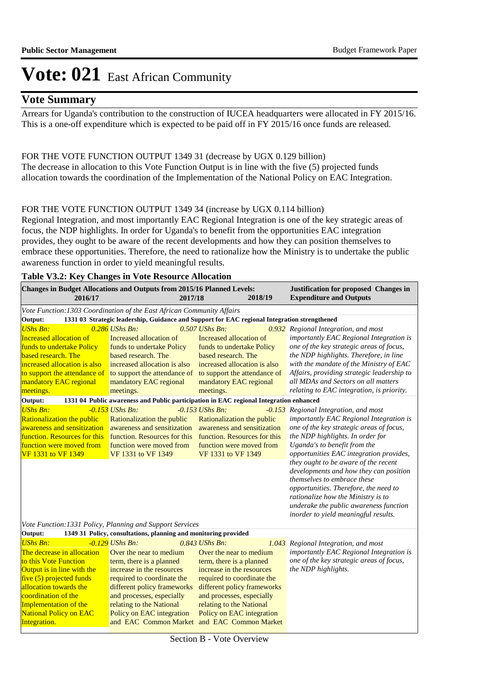## **Vote Summary**

Arrears for Uganda's contribution to the construction of IUCEA headquarters were allocated in FY 2015/16. This is a one-off expenditure which is expected to be paid off in FY 2015/16 once funds are released.

### FOR THE VOTE FUNCTION OUTPUT 1349 31 (decrease by UGX 0.129 billion) The decrease in allocation to this Vote Function Output is in line with the five (5) projected funds allocation towards the coordination of the Implementation of the National Policy on EAC Integration.

### FOR THE VOTE FUNCTION OUTPUT 1349 34 (increase by UGX 0.114 billion)

Regional Integration, and most importantly EAC Regional Integration is one of the key strategic areas of focus, the NDP highlights. In order for Uganda's to benefit from the opportunities EAC integration provides, they ought to be aware of the recent developments and how they can position themselves to embrace these opportunities. Therefore, the need to rationalize how the Ministry is to undertake the public awareness function in order to yield meaningful results.

| <b>Table V3.2: Key Changes in Vote Resource Allocation</b>                                                                                                                                                                                                    |                                                                                                                                                                                                                                                          |                                                                                                                                                                                                                                                                                                        |  |                                                                                                                                                                                                                                                                                                                                                                                                                                                                                                                               |  |  |  |  |  |
|---------------------------------------------------------------------------------------------------------------------------------------------------------------------------------------------------------------------------------------------------------------|----------------------------------------------------------------------------------------------------------------------------------------------------------------------------------------------------------------------------------------------------------|--------------------------------------------------------------------------------------------------------------------------------------------------------------------------------------------------------------------------------------------------------------------------------------------------------|--|-------------------------------------------------------------------------------------------------------------------------------------------------------------------------------------------------------------------------------------------------------------------------------------------------------------------------------------------------------------------------------------------------------------------------------------------------------------------------------------------------------------------------------|--|--|--|--|--|
| Changes in Budget Allocations and Outputs from 2015/16 Planned Levels:<br>2016/17                                                                                                                                                                             |                                                                                                                                                                                                                                                          | 2018/19<br>2017/18                                                                                                                                                                                                                                                                                     |  | Justification for proposed Changes in<br><b>Expenditure and Outputs</b>                                                                                                                                                                                                                                                                                                                                                                                                                                                       |  |  |  |  |  |
| Vote Function: 1303 Coordination of the East African Community Affairs                                                                                                                                                                                        |                                                                                                                                                                                                                                                          |                                                                                                                                                                                                                                                                                                        |  |                                                                                                                                                                                                                                                                                                                                                                                                                                                                                                                               |  |  |  |  |  |
| Output:<br>1331 03 Strategic leadership, Guidance and Support for EAC regional Integration strengthened                                                                                                                                                       |                                                                                                                                                                                                                                                          |                                                                                                                                                                                                                                                                                                        |  |                                                                                                                                                                                                                                                                                                                                                                                                                                                                                                                               |  |  |  |  |  |
| <b>UShs Bn:</b><br><b>Increased allocation of</b><br>funds to undertake Policy<br>based research. The<br>increased allocation is also<br>to support the attendance of<br>mandatory EAC regional<br>meetings.                                                  | $0.286$ UShs Bn:<br>Increased allocation of<br>funds to undertake Policy<br>based research. The<br>increased allocation is also<br>to support the attendance of<br>mandatory EAC regional<br>meetings.                                                   | 0.507 UShs Bn.<br>Increased allocation of<br>funds to undertake Policy<br>based research. The<br>increased allocation is also<br>to support the attendance of<br>mandatory EAC regional<br>meetings.                                                                                                   |  | 0.932 Regional Integration, and most<br>importantly EAC Regional Integration is<br>one of the key strategic areas of focus,<br>the NDP highlights. Therefore, in line<br>with the mandate of the Ministry of EAC<br>Affairs, providing strategic leadership to<br>all MDAs and Sectors on all matters<br>relating to EAC integration, is priority.                                                                                                                                                                            |  |  |  |  |  |
| Output:                                                                                                                                                                                                                                                       |                                                                                                                                                                                                                                                          | 1331 04 Public awareness and Public participation in EAC regional Integration enhanced                                                                                                                                                                                                                 |  |                                                                                                                                                                                                                                                                                                                                                                                                                                                                                                                               |  |  |  |  |  |
| <b>UShs Bn:</b><br>Rationalization the public<br>awareness and sensitization<br>function. Resources for this<br>function were moved from<br><b>VF 1331 to VF 1349</b><br>Vote Function: 1331 Policy, Planning and Support Services                            | $-0.153$ UShs Bn:<br>Rationalization the public<br>awareness and sensitization<br>function. Resources for this<br>function were moved from<br>VF 1331 to VF 1349                                                                                         | $-0.153$ UShs Bn:<br>Rationalization the public<br>awareness and sensitization<br>function. Resources for this<br>function were moved from<br>VF 1331 to VF 1349                                                                                                                                       |  | -0.153 Regional Integration, and most<br>importantly EAC Regional Integration is<br>one of the key strategic areas of focus,<br>the NDP highlights. In order for<br>Uganda's to benefit from the<br>opportunities EAC integration provides,<br>they ought to be aware of the recent<br>developments and how they can position<br>themselves to embrace these<br>opportunities. Therefore, the need to<br>rationalize how the Ministry is to<br>underake the public awareness function<br>inorder to yield meaningful results. |  |  |  |  |  |
| Output:                                                                                                                                                                                                                                                       | 1349 31 Policy, consultations, planning and monitoring provided                                                                                                                                                                                          |                                                                                                                                                                                                                                                                                                        |  |                                                                                                                                                                                                                                                                                                                                                                                                                                                                                                                               |  |  |  |  |  |
| <b>UShs Bn:</b><br>The decrease in allocation<br>to this Vote Function<br>Output is in line with the<br>five $(5)$ projected funds<br>allocation towards the<br>coordination of the<br>Implementation of the<br><b>National Policy on EAC</b><br>Integration. | $-0.129$ UShs Bn:<br>Over the near to medium<br>term, there is a planned<br>increase in the resources<br>required to coordinate the<br>different policy frameworks<br>and processes, especially<br>relating to the National<br>Policy on EAC integration | $0.843$ UShs Bn:<br>Over the near to medium<br>term, there is a planned<br>increase in the resources<br>required to coordinate the<br>different policy frameworks<br>and processes, especially<br>relating to the National<br>Policy on EAC integration<br>and EAC Common Market and EAC Common Market |  | 1.043 Regional Integration, and most<br>importantly EAC Regional Integration is<br>one of the key strategic areas of focus,<br>the NDP highlights.                                                                                                                                                                                                                                                                                                                                                                            |  |  |  |  |  |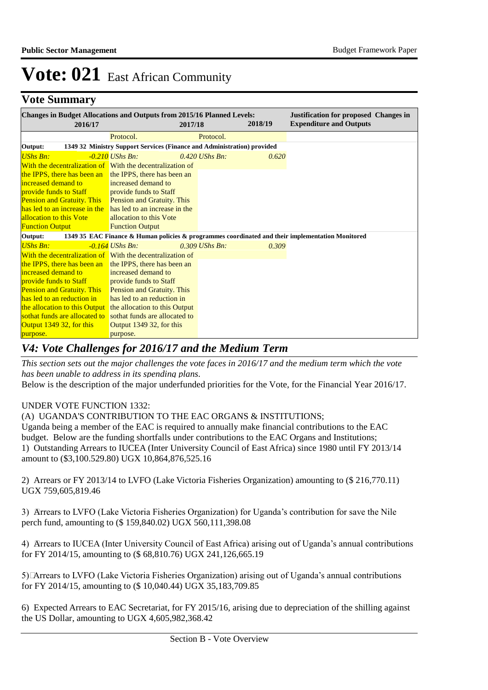## **Vote Summary**

| <b>Changes in Budget Allocations and Outputs from 2015/16 Planned Levels:</b><br>2016/17 |                                                                         | 2017/18          | 2018/19 | <b>Justification for proposed Changes in</b><br><b>Expenditure and Outputs</b>                   |
|------------------------------------------------------------------------------------------|-------------------------------------------------------------------------|------------------|---------|--------------------------------------------------------------------------------------------------|
|                                                                                          | Protocol.                                                               | Protocol.        |         |                                                                                                  |
| Output:                                                                                  | 1349 32 Ministry Support Services (Finance and Administration) provided |                  |         |                                                                                                  |
| <b>UShs Bn:</b>                                                                          | $-0.210$ UShs Bn:                                                       | $0.420$ UShs Bn: | 0.620   |                                                                                                  |
| With the decentralization of With the decentralization of                                |                                                                         |                  |         |                                                                                                  |
| the IPPS, there has been an the IPPS, there has been an                                  |                                                                         |                  |         |                                                                                                  |
| increased demand to                                                                      | increased demand to                                                     |                  |         |                                                                                                  |
| provide funds to Staff                                                                   | <b>Example 1</b> provide funds to Staff                                 |                  |         |                                                                                                  |
| <b>Pension and Gratuity. This</b> Pension and Gratuity. This                             |                                                                         |                  |         |                                                                                                  |
| has led to an increase in the has led to an increase in the                              |                                                                         |                  |         |                                                                                                  |
| allocation to this Vote                                                                  | allocation to this Vote                                                 |                  |         |                                                                                                  |
| <b>Function Output</b>                                                                   | <b>Function Output</b>                                                  |                  |         |                                                                                                  |
| Output:                                                                                  |                                                                         |                  |         | 1349 35 EAC Finance & Human policies & programmes coordinated and their implementation Monitored |
| <b>UShs Bn:</b>                                                                          | $-0.164$ UShs Bn:                                                       | $0.309$ UShs Bn: | 0.309   |                                                                                                  |
| With the decentralization of With the decentralization of                                |                                                                         |                  |         |                                                                                                  |
| the IPPS, there has been an the IPPS, there has been an                                  |                                                                         |                  |         |                                                                                                  |
| increased demand to                                                                      | increased demand to                                                     |                  |         |                                                                                                  |
| provide funds to Staff                                                                   | <b>Example 5 In provide funds to Staff</b>                              |                  |         |                                                                                                  |
| <b>Pension and Gratuity. This</b>                                                        | <b>Pension and Gratuity. This</b>                                       |                  |         |                                                                                                  |
| has led to an reduction in                                                               | has led to an reduction in                                              |                  |         |                                                                                                  |
| the allocation to this Output the allocation to this Output                              |                                                                         |                  |         |                                                                                                  |
| sothat funds are allocated to sothat funds are allocated to                              |                                                                         |                  |         |                                                                                                  |
| Output 1349 32, for this                                                                 | Output 1349 32, for this                                                |                  |         |                                                                                                  |
| purpose.                                                                                 | purpose.                                                                |                  |         |                                                                                                  |

## *V4: Vote Challenges for 2016/17 and the Medium Term*

*This section sets out the major challenges the vote faces in 2016/17 and the medium term which the vote has been unable to address in its spending plans.*

Below is the description of the major underfunded priorities for the Vote, for the Financial Year 2016/17.

### UNDER VOTE FUNCTION 1332:

(A) UGANDA'S CONTRIBUTION TO THE EAC ORGANS & INSTITUTIONS;

Uganda being a member of the EAC is required to annually make financial contributions to the EAC budget. Below are the funding shortfalls under contributions to the EAC Organs and Institutions; 1) Outstanding Arrears to IUCEA (Inter University Council of East Africa) since 1980 until FY 2013/14 amount to (\$3,100.529.80) UGX 10,864,876,525.16

2) Arrears or FY 2013/14 to LVFO (Lake Victoria Fisheries Organization) amounting to (\$ 216,770.11) UGX 759,605,819.46

3) Arrears to LVFO (Lake Victoria Fisheries Organization) for Uganda's contribution for save the Nile perch fund, amounting to (\$ 159,840.02) UGX 560,111,398.08

4) Arrears to IUCEA (Inter University Council of East Africa) arising out of Uganda's annual contributions for FY 2014/15, amounting to (\$ 68,810.76) UGX 241,126,665.19

5) Arrears to LVFO (Lake Victoria Fisheries Organization) arising out of Uganda's annual contributions for FY 2014/15, amounting to (\$ 10,040.44) UGX 35,183,709.85

6) Expected Arrears to EAC Secretariat, for FY 2015/16, arising due to depreciation of the shilling against the US Dollar, amounting to UGX 4,605,982,368.42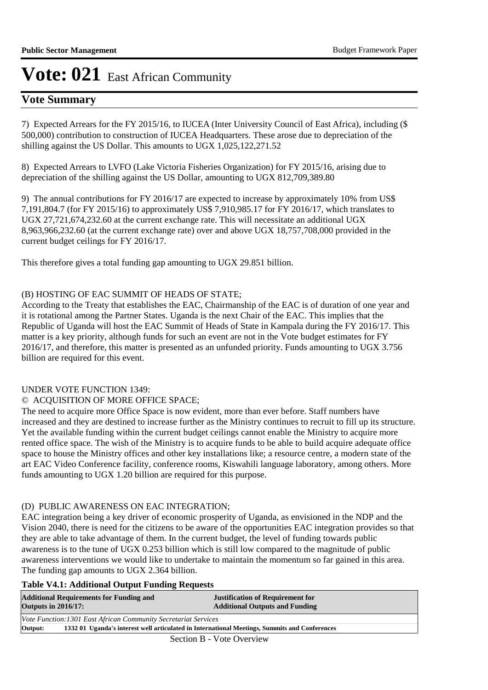## **Vote Summary**

7) Expected Arrears for the FY 2015/16, to IUCEA (Inter University Council of East Africa), including (\$ 500,000) contribution to construction of IUCEA Headquarters. These arose due to depreciation of the shilling against the US Dollar. This amounts to UGX 1,025,122,271.52

8) Expected Arrears to LVFO (Lake Victoria Fisheries Organization) for FY 2015/16, arising due to depreciation of the shilling against the US Dollar, amounting to UGX 812,709,389.80

9) The annual contributions for FY 2016/17 are expected to increase by approximately 10% from US\$ 7,191,804.7 (for FY 2015/16) to approximately US\$ 7,910,985.17 for FY 2016/17, which translates to UGX 27,721,674,232.60 at the current exchange rate. This will necessitate an additional UGX 8,963,966,232.60 (at the current exchange rate) over and above UGX 18,757,708,000 provided in the current budget ceilings for FY 2016/17.

This therefore gives a total funding gap amounting to UGX 29.851 billion.

### (B) HOSTING OF EAC SUMMIT OF HEADS OF STATE;

According to the Treaty that establishes the EAC, Chairmanship of the EAC is of duration of one year and it is rotational among the Partner States. Uganda is the next Chair of the EAC. This implies that the Republic of Uganda will host the EAC Summit of Heads of State in Kampala during the FY 2016/17. This matter is a key priority, although funds for such an event are not in the Vote budget estimates for FY 2016/17, and therefore, this matter is presented as an unfunded priority. Funds amounting to UGX 3.756 billion are required for this event.

### UNDER VOTE FUNCTION 1349:

### © ACQUISITION OF MORE OFFICE SPACE;

The need to acquire more Office Space is now evident, more than ever before. Staff numbers have increased and they are destined to increase further as the Ministry continues to recruit to fill up its structure. Yet the available funding within the current budget ceilings cannot enable the Ministry to acquire more rented office space. The wish of the Ministry is to acquire funds to be able to build acquire adequate office space to house the Ministry offices and other key installations like; a resource centre, a modern state of the art EAC Video Conference facility, conference rooms, Kiswahili language laboratory, among others. More funds amounting to UGX 1.20 billion are required for this purpose.

### (D) PUBLIC AWARENESS ON EAC INTEGRATION;

EAC integration being a key driver of economic prosperity of Uganda, as envisioned in the NDP and the Vision 2040, there is need for the citizens to be aware of the opportunities EAC integration provides so that they are able to take advantage of them. In the current budget, the level of funding towards public awareness is to the tune of UGX 0.253 billion which is still low compared to the magnitude of public awareness interventions we would like to undertake to maintain the momentum so far gained in this area. The funding gap amounts to UGX 2.364 billion.

### **Table V4.1: Additional Output Funding Requests**

| <b>Additional Requirements for Funding and</b><br><b>Outputs in 2016/17:</b>                             | <b>Justification of Requirement for</b><br><b>Additional Outputs and Funding</b>                       |  |  |  |  |
|----------------------------------------------------------------------------------------------------------|--------------------------------------------------------------------------------------------------------|--|--|--|--|
| Vote Function: 1301 East African Community Secretariat Services                                          |                                                                                                        |  |  |  |  |
| Output:<br>1332 01 Uganda's interest well articulated in International Meetings, Summits and Conferences |                                                                                                        |  |  |  |  |
|                                                                                                          | $\mathcal{R}_{\text{add}}$ $\mathbf{D}$ $\mathbf{V}_{\text{obs}}$ $\mathbf{\Omega}_{\text{conmitary}}$ |  |  |  |  |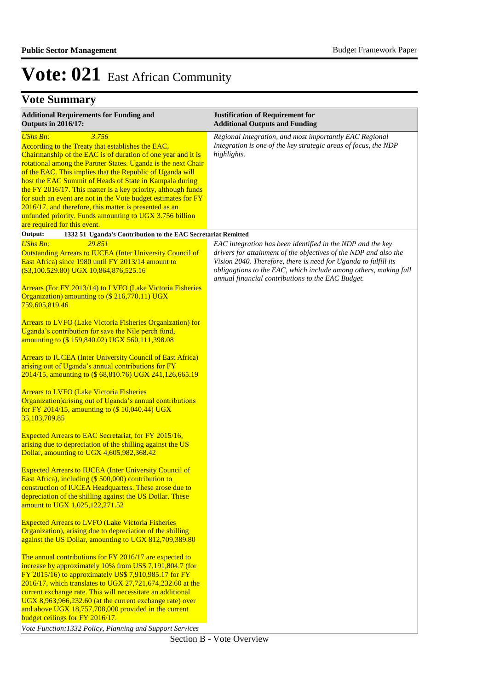## **Vote Summary**

| <b>Additional Requirements for Funding and</b><br><b>Outputs in 2016/17:</b>                                                                                                                                                                                                                                                                                                                                                                                                                                                                                                                                                  | <b>Justification of Requirement for</b><br><b>Additional Outputs and Funding</b>                                                                                                                                                                                                                                           |
|-------------------------------------------------------------------------------------------------------------------------------------------------------------------------------------------------------------------------------------------------------------------------------------------------------------------------------------------------------------------------------------------------------------------------------------------------------------------------------------------------------------------------------------------------------------------------------------------------------------------------------|----------------------------------------------------------------------------------------------------------------------------------------------------------------------------------------------------------------------------------------------------------------------------------------------------------------------------|
| <b>UShs Bn:</b><br>3.756<br>According to the Treaty that establishes the EAC,<br>Chairmanship of the EAC is of duration of one year and it is<br>rotational among the Partner States. Uganda is the next Chair<br>of the EAC. This implies that the Republic of Uganda will<br>host the EAC Summit of Heads of State in Kampala during<br>the FY 2016/17. This matter is a key priority, although funds<br>for such an event are not in the Vote budget estimates for FY<br>2016/17, and therefore, this matter is presented as an<br>unfunded priority. Funds amounting to UGX 3.756 billion<br>are required for this event. | Regional Integration, and most importantly EAC Regional<br>Integration is one of the key strategic areas of focus, the NDP<br>highlights.                                                                                                                                                                                  |
| Output:<br>1332 51 Uganda's Contribution to the EAC Secretariat Remitted                                                                                                                                                                                                                                                                                                                                                                                                                                                                                                                                                      |                                                                                                                                                                                                                                                                                                                            |
| <b>UShs Bn:</b><br>29.851<br><b>Outstanding Arrears to IUCEA (Inter University Council of</b><br>East Africa) since 1980 until FY 2013/14 amount to<br>$(\$3,100.529.80)$ UGX $10,864,876,525.16$<br>Arrears (For FY 2013/14) to LVFO (Lake Victoria Fisheries<br>Organization) amounting to (\$ 216,770.11) UGX                                                                                                                                                                                                                                                                                                              | EAC integration has been identified in the NDP and the key<br>drivers for attainment of the objectives of the NDP and also the<br>Vision 2040. Therefore, there is need for Uganda to fulfill its<br>obligagtions to the EAC, which include among others, making full<br>annual financial contributions to the EAC Budget. |
| 759,605,819.46<br><b>Arrears to LVFO (Lake Victoria Fisheries Organization) for</b><br>Uganda's contribution for save the Nile perch fund,<br>amounting to (\$159,840.02) UGX 560,111,398.08                                                                                                                                                                                                                                                                                                                                                                                                                                  |                                                                                                                                                                                                                                                                                                                            |
| <b>Arrears to IUCEA (Inter University Council of East Africa)</b><br>arising out of Uganda's annual contributions for FY<br>2014/15, amounting to (\$68,810.76) UGX 241,126,665.19                                                                                                                                                                                                                                                                                                                                                                                                                                            |                                                                                                                                                                                                                                                                                                                            |
| <b>Arrears to LVFO (Lake Victoria Fisheries</b><br>Organization) arising out of Uganda's annual contributions<br>for FY 2014/15, amounting to (\$ 10,040.44) UGX<br>35,183,709.85                                                                                                                                                                                                                                                                                                                                                                                                                                             |                                                                                                                                                                                                                                                                                                                            |
| Expected Arrears to EAC Secretariat, for FY 2015/16,<br>arising due to depreciation of the shilling against the US<br>Dollar, amounting to UGX 4,605,982,368.42                                                                                                                                                                                                                                                                                                                                                                                                                                                               |                                                                                                                                                                                                                                                                                                                            |
| <b>Expected Arrears to IUCEA (Inter University Council of</b><br>East Africa), including (\$500,000) contribution to<br>construction of IUCEA Headquarters. These arose due to<br>depreciation of the shilling against the US Dollar. These<br>amount to UGX 1,025,122,271.52                                                                                                                                                                                                                                                                                                                                                 |                                                                                                                                                                                                                                                                                                                            |
| <b>Expected Arrears to LVFO (Lake Victoria Fisheries</b><br>Organization), arising due to depreciation of the shilling<br>against the US Dollar, amounting to UGX 812,709,389.80                                                                                                                                                                                                                                                                                                                                                                                                                                              |                                                                                                                                                                                                                                                                                                                            |
| The annual contributions for FY 2016/17 are expected to<br>increase by approximately 10% from US\$ 7,191,804.7 (for<br>FY 2015/16) to approximately US\$ 7,910,985.17 for FY<br>2016/17, which translates to UGX 27,721,674,232.60 at the<br>current exchange rate. This will necessitate an additional<br>UGX 8,963,966,232.60 (at the current exchange rate) over<br>and above UGX 18,757,708,000 provided in the current<br>budget ceilings for FY 2016/17.<br>Vote Function: 1332 Policy, Planning and Support Services                                                                                                   |                                                                                                                                                                                                                                                                                                                            |

Section B - Vote Overview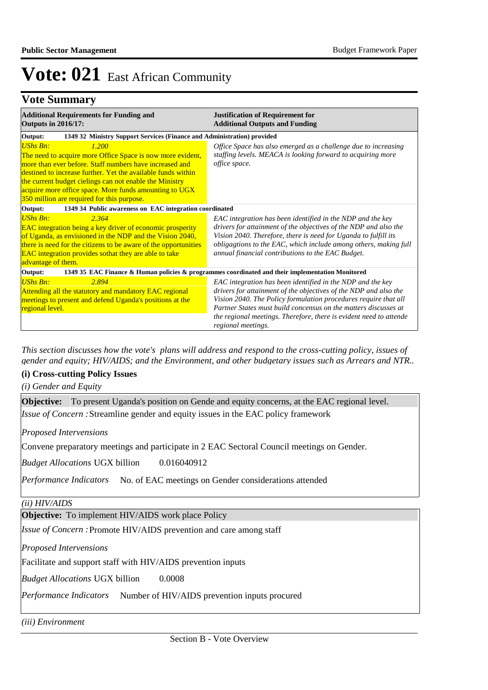## **Vote Summary**

| <b>Additional Requirements for Funding and</b><br><b>Outputs in 2016/17:</b>                                                                                                                                                                                                                                                                                                         | <b>Justification of Requirement for</b><br><b>Additional Outputs and Funding</b>                                                                                                                                                                                                                                                                                 |  |  |  |
|--------------------------------------------------------------------------------------------------------------------------------------------------------------------------------------------------------------------------------------------------------------------------------------------------------------------------------------------------------------------------------------|------------------------------------------------------------------------------------------------------------------------------------------------------------------------------------------------------------------------------------------------------------------------------------------------------------------------------------------------------------------|--|--|--|
| 1349 32 Ministry Support Services (Finance and Administration) provided<br>Output:                                                                                                                                                                                                                                                                                                   |                                                                                                                                                                                                                                                                                                                                                                  |  |  |  |
| <b>UShs Bn:</b><br>1.200<br>The need to acquire more Office Space is now more evident,<br>more than ever before. Staff numbers have increased and<br>destined to increase further. Yet the available funds within<br>the current budget cielings can not enable the Ministry<br>acquire more office space. More funds amounting to UGX<br>350 million are required for this purpose. | Office Space has also emerged as a challenge due to increasing<br>staffing levels. MEACA is looking forward to acquiring more<br>office space.                                                                                                                                                                                                                   |  |  |  |
| 1349 34 Public awareness on EAC integration coordinated<br>Output:                                                                                                                                                                                                                                                                                                                   |                                                                                                                                                                                                                                                                                                                                                                  |  |  |  |
| UShs Bn:<br>2.364<br>EAC integration being a key driver of economic prosperity<br>of Uganda, as envisioned in the NDP and the Vision 2040,<br>there is need for the citizens to be aware of the opportunities<br><b>EAC</b> integration provides sothat they are able to take<br>advantage of them.                                                                                  | EAC integration has been identified in the NDP and the key<br>drivers for attainment of the objectives of the NDP and also the<br>Vision 2040. Therefore, there is need for Uganda to fulfill its<br>obligagtions to the EAC, which include among others, making full<br>annual financial contributions to the EAC Budget.                                       |  |  |  |
| Output:                                                                                                                                                                                                                                                                                                                                                                              | 1349 35 EAC Finance & Human policies & programmes coordinated and their implementation Monitored                                                                                                                                                                                                                                                                 |  |  |  |
| <b>UShs Bn:</b><br>2.894<br>Attending all the statutory and mandatory EAC regional<br>meetings to present and defend Uganda's positions at the<br>regional level.                                                                                                                                                                                                                    | EAC integration has been identified in the NDP and the key<br>drivers for attainment of the objectives of the NDP and also the<br>Vision 2040. The Policy formulation procedures require that all<br>Partner States must build concensus on the matters discusses at<br>the regional meetings. Therefore, there is evident need to attende<br>regional meetings. |  |  |  |

*This section discusses how the vote's plans will address and respond to the cross-cutting policy, issues of gender and equity; HIV/AIDS; and the Environment, and other budgetary issues such as Arrears and NTR..* 

### **(i) Cross-cutting Policy Issues**

*(i) Gender and Equity*

| <b>Objective:</b> To present Uganda's position on Gende and equity concerns, at the EAC regional level. |
|---------------------------------------------------------------------------------------------------------|
| <i>Issue of Concern :</i> Streamline gender and equity issues in the EAC policy framework               |
| <b>Proposed Intervensions</b>                                                                           |
| Convene preparatory meetings and participate in 2 EAC Sectoral Council meetings on Gender.              |
| <b>Budget Allocations UGX billion</b><br>0.016040912                                                    |
| Performance Indicators No. of EAC meetings on Gender considerations attended                            |
| (ii) HIV/ALDS                                                                                           |
| <b>Objective:</b> To implement HIV/AIDS work place Policy                                               |
| <i>Issue of Concern</i> : Promote HIV/AIDS prevention and care among staff                              |
| <b>Proposed Intervensions</b>                                                                           |
| Facilitate and support staff with HIV/AIDS prevention inputs                                            |
| <i>Budget Allocations</i> UGX billion<br>0.0008                                                         |
| <i>Performance Indicators</i> Number of HIV/AIDS prevention inputs procured                             |
| <i>(iii) Environment</i>                                                                                |